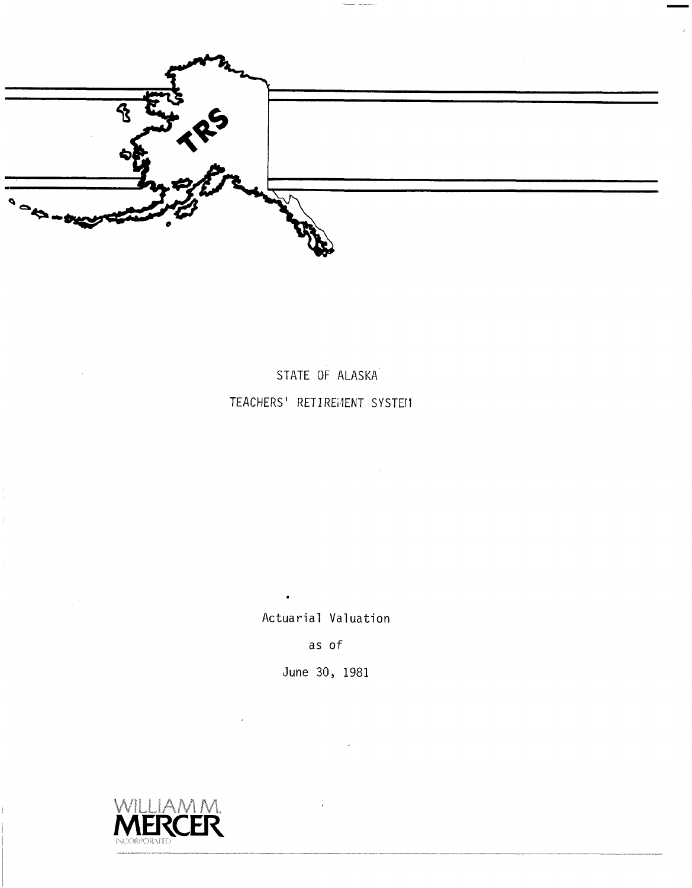

STATE OF ALASKA TEACHERS' RETIREMENT SYSTEM

Actuarial Valuation

 $\mathbf{r}$ 

as of

June 30, 1981



j.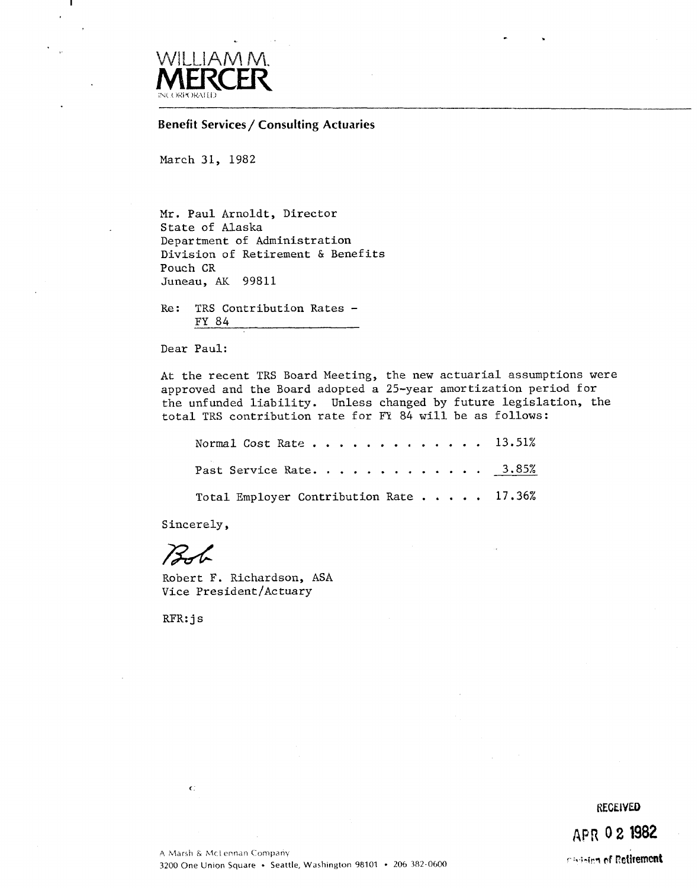

-1

**Benefit Services / Consulting Actuaries** 

March 31, 1982

Mr. Paul Arnoldt, Director State of Alaska Department of Administration Division of Retirement & Benefits Pouch CR Juneau, AK 99811

 $Re:$ TRS Contribution Rates -FY 84

Dear Paul:

At the recent TRS Board Meeting, the new actuarial assumptions were approved and the Board adopted a 25-year amortization period for the unfunded liability. Unless changed by future legislation, the total TRS contribution rate for FY 84 will be as follows:

| Normal Cost Rate 13.51%                 |  |
|-----------------------------------------|--|
| Past Service Rate. 3.85%                |  |
| Total Employer Contribution Rate 17.36% |  |

Sincerely,

 $Bf$ 

Robert F. Richardson, ASA Vice President/Actuary

 $RFR: j s$ 

 $\mathbf{C}$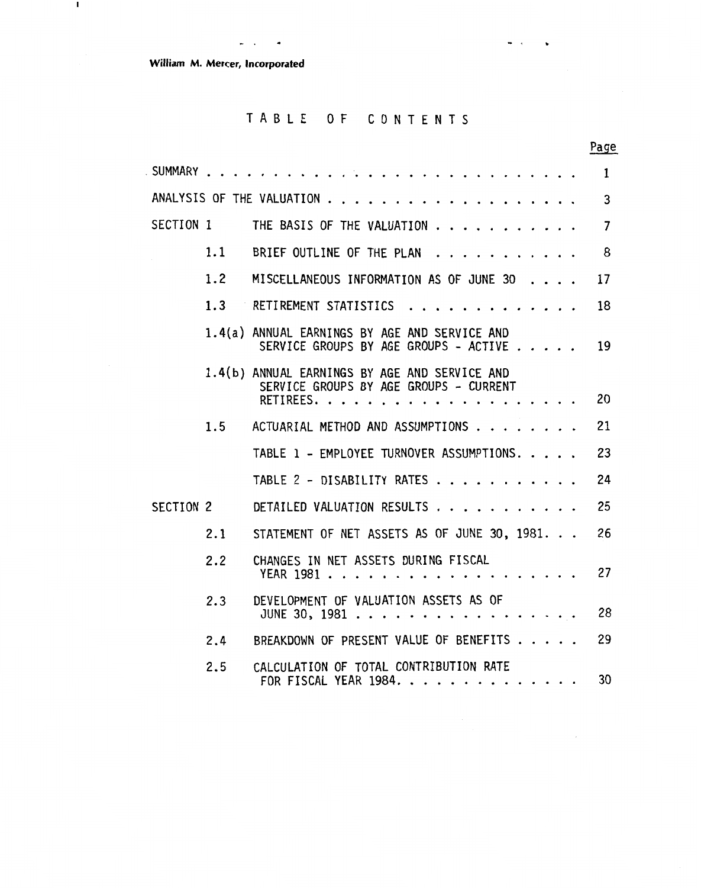**William M** . **Mercer. Incorporated** 

 $\mathbf{I}$ 

.-. .

# TABLE OF CONTENTS

 $\blacksquare$ 

 $\ddot{\phantom{0}}$ 

 $\bar{\gamma}$ 

|           |     |                                                                                                      | Page           |
|-----------|-----|------------------------------------------------------------------------------------------------------|----------------|
| . SUMMARY |     |                                                                                                      | $\mathbf{1}$   |
|           |     |                                                                                                      | 3              |
| SECTION 1 |     | THE BASIS OF THE VALUATION                                                                           | $\overline{7}$ |
|           | 1.1 | BRIEF OUTLINE OF THE PLAN                                                                            | 8              |
|           | 1.2 | MISCELLANEOUS INFORMATION AS OF JUNE 30                                                              | 17             |
|           | 1.3 | RETIREMENT STATISTICS                                                                                | 18             |
|           |     | 1.4(a) ANNUAL EARNINGS BY AGE AND SERVICE AND<br>SERVICE GROUPS BY AGE GROUPS - ACTIVE               | 19             |
|           |     | 1.4(b) ANNUAL EARNINGS BY AGE AND SERVICE AND<br>SERVICE GROUPS BY AGE GROUPS - CURRENT<br>RETIREES. | 20             |
|           | 1.5 | ACTUARIAL METHOD AND ASSUMPTIONS                                                                     | 21             |
|           |     | TABLE 1 - EMPLOYEE TURNOVER ASSUMPTIONS.                                                             | 23             |
|           |     | TABLE 2 - DISABILITY RATES                                                                           | 24             |
| SECTION 2 |     | DETAILED VALUATION RESULTS                                                                           | 25             |
|           | 2.1 | STATEMENT OF NET ASSETS AS OF JUNE 30, 1981.                                                         | 26             |
|           | 2.2 | CHANGES IN NET ASSETS DURING FISCAL                                                                  | 27             |
|           | 2.3 | DEVELOPMENT OF VALUATION ASSETS AS OF<br>JUNE 30, 1981                                               | 28             |
|           | 2.4 | BREAKDOWN OF PRESENT VALUE OF BENEFITS                                                               | 29             |
|           | 2.5 | CALCULATION OF TOTAL CONTRIBUTION RATE<br>FOR FISCAL YEAR 1984.                                      | 30             |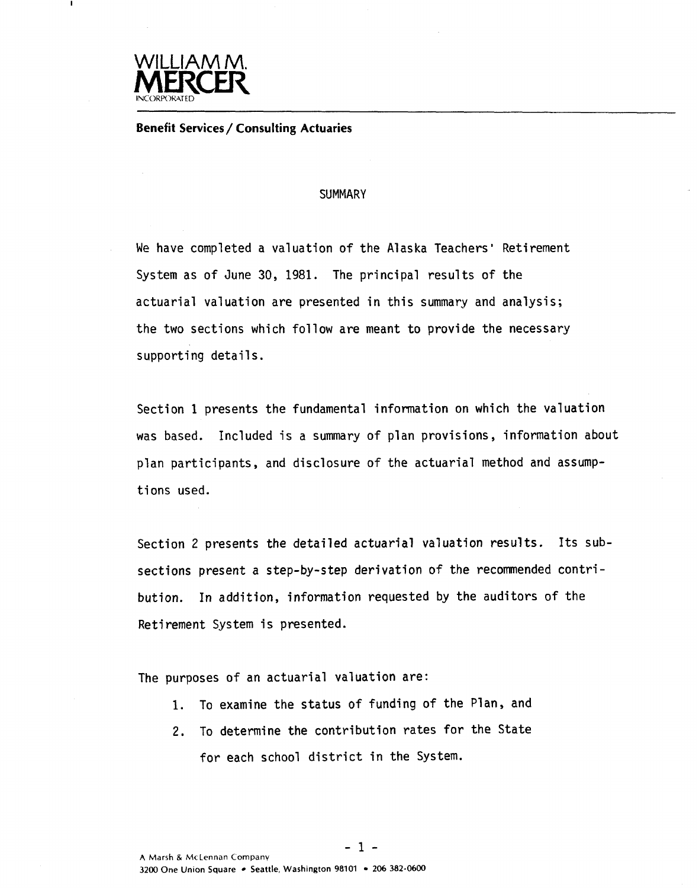

**Benefit Services** / **Consulting Actuaries** 

#### **SUMMARY**

We have completed a valuation of the Alaska Teachers' Retirement System as of June 30, **1981.** The principal results of the actuarial valuation are presented in this summary and analysis; the two sections which follow are meant to provide the necessary supporting details.

Section 1 presents the fundamental information on which the valuation was based. Included is a summary of plan provisions, information about plan participants, and disclosure of the actuarial method and assumptions used.

Section 2 presents the detailed actuarial valuation results. Its subsections present a step-by-step derivation of the recommended contribution. In addition, information requested by the auditors of the Retirement System is presented.

The purposes of an actuarial valuation are:

- 1. To examine the status of funding of the Plan, and
- **2.** To determine the contribution rates for the State for each school district in the System.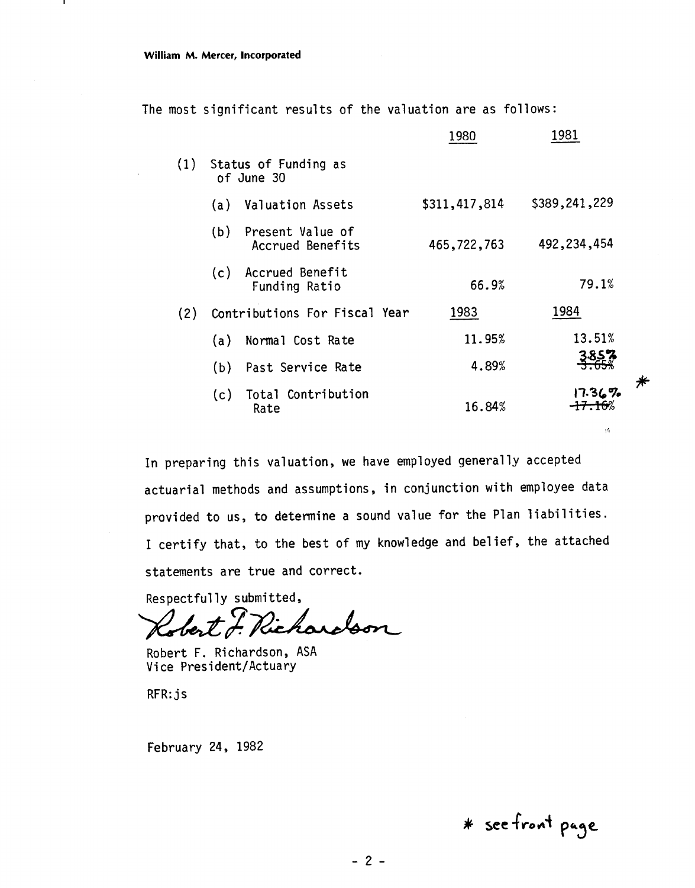п.

The most significant results of the valuation are as follows:

|     |     |                                      | 1980          | 1981          |
|-----|-----|--------------------------------------|---------------|---------------|
| (1) |     | Status of Funding as<br>of June 30   |               |               |
|     | (a) | Valuation Assets                     | \$311,417,814 | \$389,241,229 |
|     | (b) | Present Value of<br>Accrued Benefits | 465,722,763   | 492, 234, 454 |
|     | (c) | Accrued Benefit<br>Funding Ratio     | 66.9%         | 79.1%         |
| (2) |     | Contributions For Fiscal Year        | 1983          | 1984          |
|     | (a) | Normal Cost Rate                     | 11.95%        | 13.51%        |
|     | (b) | Past Service Rate                    | 4.89%         | <u> 3857</u>  |
|     | (c) | Total Contribution<br>Rate           | 16.84%        | 17.367        |
|     |     |                                      |               | w             |

In preparing this valuation, we have employed generally accepted actuarial methods and assumptions, in conjunction with employee data provided to us, to determine a sound value for the Plan liabilities. I certify that, to the best of my knowledge and belief, the attached statements are true and correct.

Respectfully submitted,

Richardson lober

Robert F. Richardson, ASA Vice President/Actuary

RFR: js

February 24, 1982

\* see front page

 $\bigstar$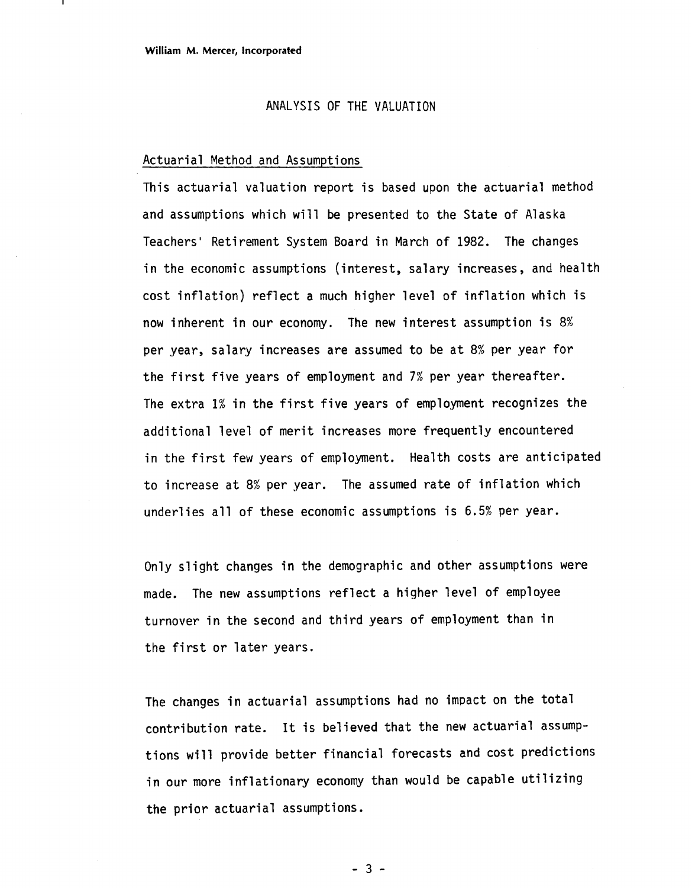#### ANALYSIS OF THE VALUATION

#### Actuarial Method and Assumptions

This actuarial valuation report is based upon the actuarial method and assumptions which will be presented to the State of Alaska Teachers' Retirement System Board in March of 1982. The changes in the economic assumptions (interest, salary increases, and health cost inflation) reflect a much higher level of inflation which is now inherent in our economy. The new interest assumption is 8% per year, salary increases are assumed to be at 8% per year for the first five years of employment and 7% per year thereafter. The extra 1% in the first five years of employment recognizes the additional level of merit increases more frequently encountered in the first few years of employment. Health costs are anticipated to increase at 8% per year. The assumed rate of inflation which underlies all of these economic assumptions is 6.5% per year.

Only slight changes in the demographic and other assumptions were made. The new assumptions reflect a higher level of employee turnover in the second and third years of employment than in the first or later years.

The changes in actuarial assumptions had no impact on the total contribution rate. It is believed that the new actuarial assumptions will provide better financial forecasts and cost predictions in our more inflationary economy than would be capable utilizing the prior actuarial assumptions.

 $-3 -$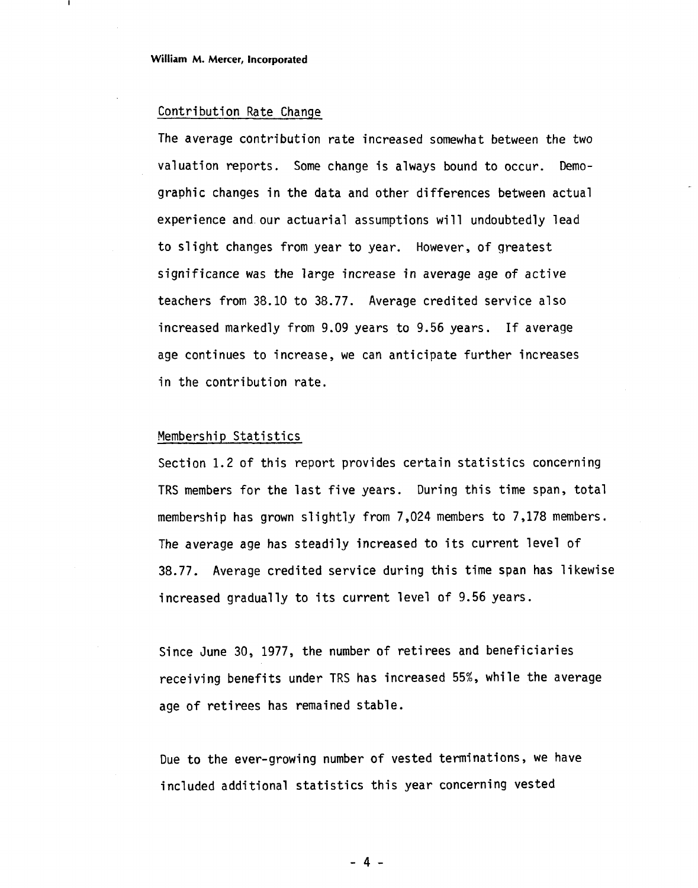#### Contribution Rate Change

The average contribution rate increased somewhat between the two valuation reports. Some change is always bound to occur. Demographic changes in the data and other differences between actual experience and our actuarial assumptions wi 11 undoubtedly lead to slight changes from year to year. However, of greatest significance was the large increase in average age of active teachers from 38.10 to 38.77. Average credited service also increased markedly from 9.09 years to 9.56 years. If average age continues to increase, we can anticipate further increases in the contribution rate.

#### Membership Statistics

Section 1.2 of this report provides certain statistics concerning TRS members for the last five years. During this time span, total membership has grown slightly from 7,024 members to 7,178 members. The average age has steadily increased to its current level of 38.77. Average credited service during this time span has likewise increased gradually to its current level of 9.56 years.

Since June 30, 1977, the number of retirees and beneficiaries receiving benefits under TRS has increased 55%, while the average age of retirees has remained stable.

Due to the ever-growing number of vested terminations, we have included additional statistics this year concerning vested

 $-4 -$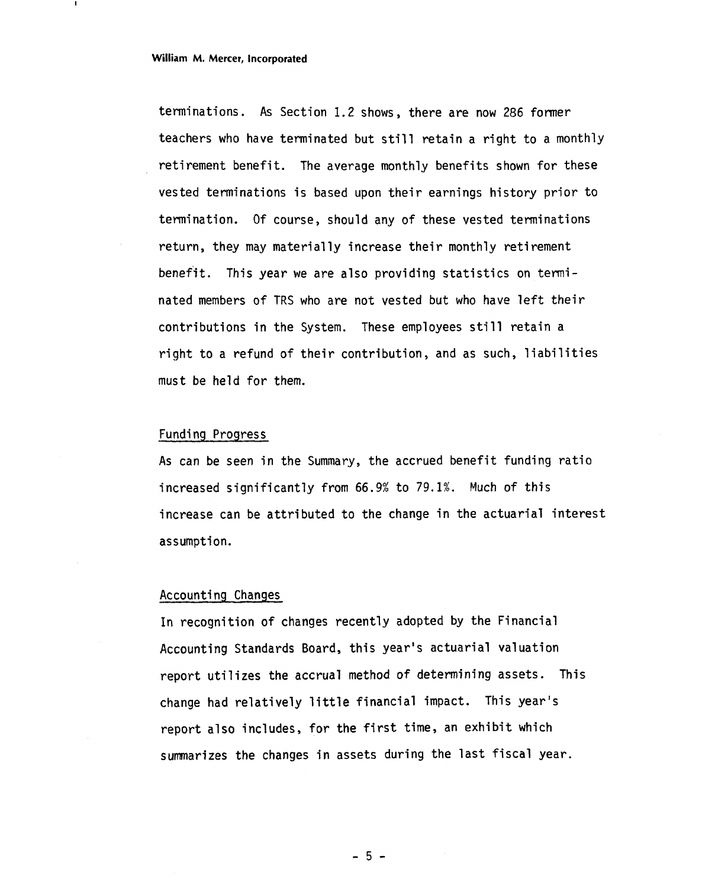terminations. As Section 1.2 shows, there are now 286 former teachers who have terminated but still retain a right to a monthly retirement benefit. The average monthly benefits shown for these vested terminations is based upon their earnings history prior to termination. Of course, should any of these vested terminations return, they may materially increase their monthly retirement benefit. This year we are also providing statistics on terminated members of TRS who are not vested but who have left their contributions in the System. These employees still retain a right to a refund of their contribution, and as such, liabilities must be held for them.

#### Funding Progress

As can be seen in the Summary, the accrued benefit funding ratio increased significantly from 66.9% to 79.1%. Much of this increase can be attributed to the change in the actuarial interest assumption.

#### Accounting Changes

In recognition of changes recently adopted by the Financial Accounting Standards Board, this year's actuarial valuation report utilizes the accrual method of determining assets. This change had relatively little financial impact. This year's report also includes, for the first time, an exhibit which summarizes the changes in assets during the last fiscal year.

 $-5 -$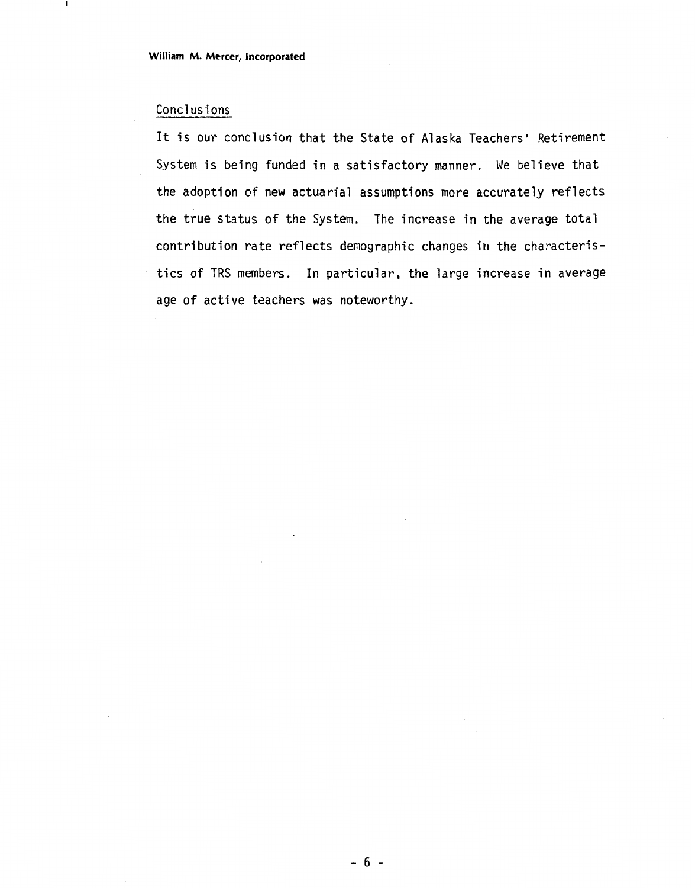#### Concl us i ons

-

It is our conclusion that the State of Alaska Teachers' Retirement System is being funded in a satisfactory manner. We believe that the adoption of new actuarial assumptions more accurately reflects the true status of the System. The increase in the average total contribution rate reflects demographic changes in the characteristics of TRS members. In particular, the large increase in average age of active teachers was noteworthy.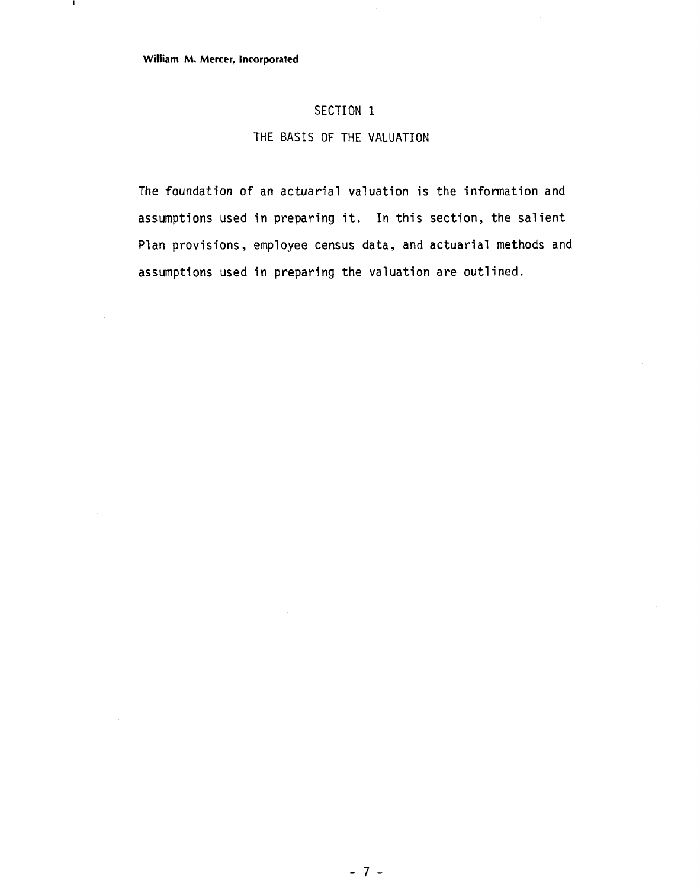$\blacksquare$ 

#### SECTION 1

#### THE BASIS OF THE VALUATION

The foundation of an actuarial valuation is the information and assumptions used in preparing it. **In** this section, the salient Plan provisions, employee census data, and actuarial methods and assumptions used in preparing the valuation are outlined.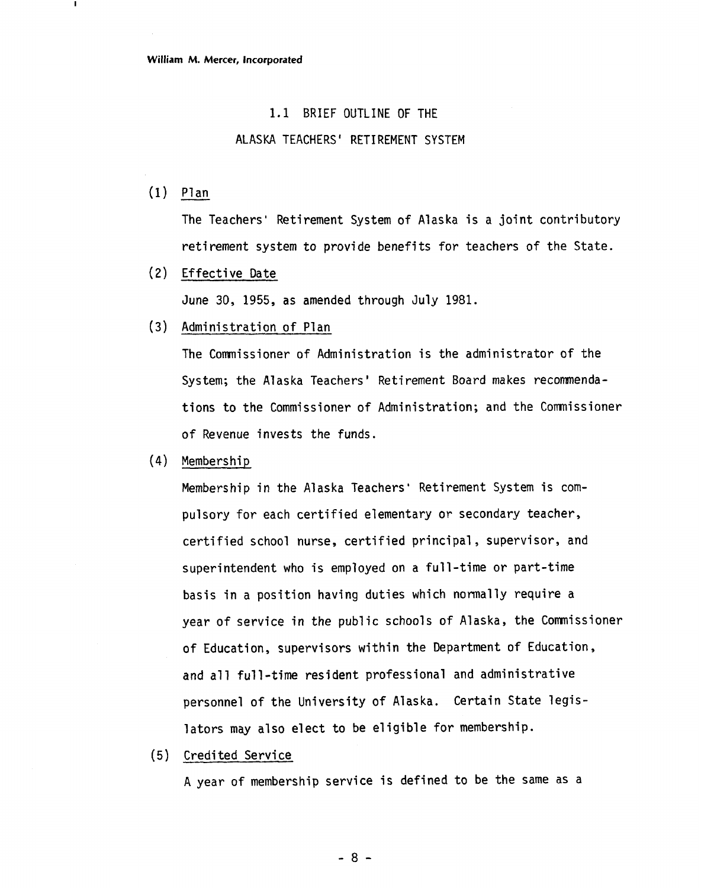#### 1.1 BRIEF OUTLINE OF THE

#### ALASKA TEACHERS' RETIREMENT SYSTEM

 $(1)$  Plan

 $\mathbf{I}$ 

The Teachers' Retirement System of Alaska is a joint contributory retirement system to provide benefits for teachers of the State.

(2) Effective Date

June 30, 1955, as amended through July 1981.

(3) Administration of Plan

The Comnissioner of Administration is the administrator of the System; the Alaska Teachers' Retirement Board makes recommendations to the Commissioner of Administration; and the Comnissioner of Revenue invests the funds.

(4) Membership

Membership in the Alaska Teachers' Retirement System is compulsory for each certified elementary or secondary teacher, certified school nurse, certified principal , supervisor, and superintendent who is employed on a full-time or part-time basis in a position having duties which normally require a year of service in the public schools of Alaska, the Conmissioner of Education, supervisors within the Department of Education, and all full-time resident professional and administrative personnel of the University of Alaska. Certain State legislators may also elect to be eligible for membership.

(5) Credited Service

A year of membership service is defined to be the same as a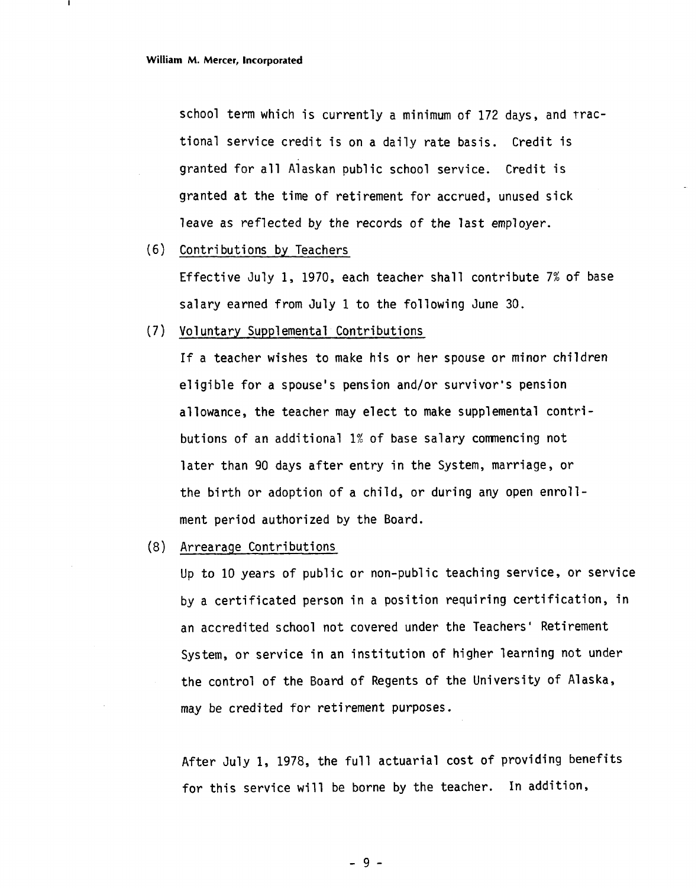school term which is currently a minimum of 172 days, and rracional service credit is on a daily rate basis. Credit is ranted for all Alaskan public school service. Credit is granted at the time of retirement for accrued, unused sick leave as reflected by the records of the last employer.

(6) Contributions by Teachers

Effective July 1, 1970, each teacher shall contribute 7% of base salary earned from July 1 to the following June 30.

(7) Voluntary Supplemental Contributions

If a teacher wishes to make his or her spouse or minor children eligible for a spouse's pension and/or survivor's pension allowance, the teacher may elect to make supplemental contributions of an additional 1% of base salary comnencing not later than 90 days after entry in the System, marriage, or the birth or adoption of a child, or during any open enrollment period authorized by the Board.

(8) Arrearage Contributions

Up to 10 years of public or non-public teaching service, or service by a certificated person in a position requiring certification, in an accredited school not covered under the Teachers' Retirement System, or service in an institution of higher learning not under the control of the Board of Regents of the University of Alaska, may be credited for retirement purposes.

After July 1, 1978, the full actuarial cost of providing benefits for this service will be borne by the teacher. In addition,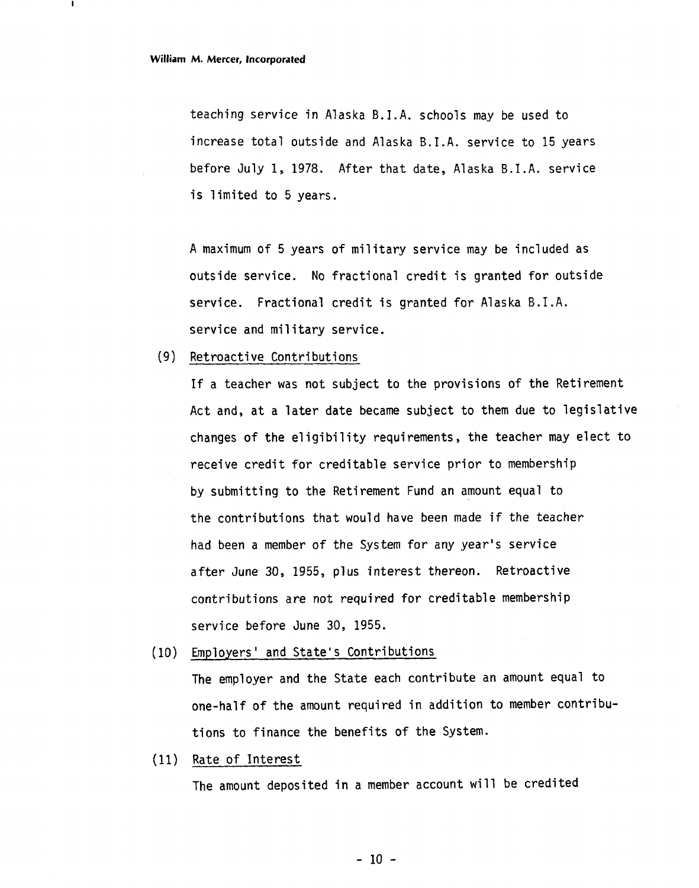teaching service in Alaska B. I.A. schools may be used to increase total outside and Alaska B.I.A. service to 15 years before July 1, 1978. After that date, Alaska B.I.A. service is limited to 5years.

A maximum of 5 years of military service may be included as outside service. No fractional credit is granted for outside service. Fractional credit is granted for Alaska B.I.A. service and military service.

#### (9) Retroactive Contributions

If a teacher was not subject to the provisions of the Retirement Act and, at a later date became subject to them due to legislative changes of the eligibility requirements, the teacher may elect to receive credit for creditable service prior to membership by submitting to the Retirement Fund an amount equal to the contributions that would have been made if the teacher had been a member of the System for any year's service after June 30, 1955, plus interest thereon. Retroactive contributions are not required for creditable membership service before June 30, 1955.

(10) Employers ' and State's Contributions

The employer and the State each contribute an amount equal to one-half of the amount required in addition to member contribu tions to finance the benefits of the System.

(11) Rate of Interest

The amount deposited in a member account will be credited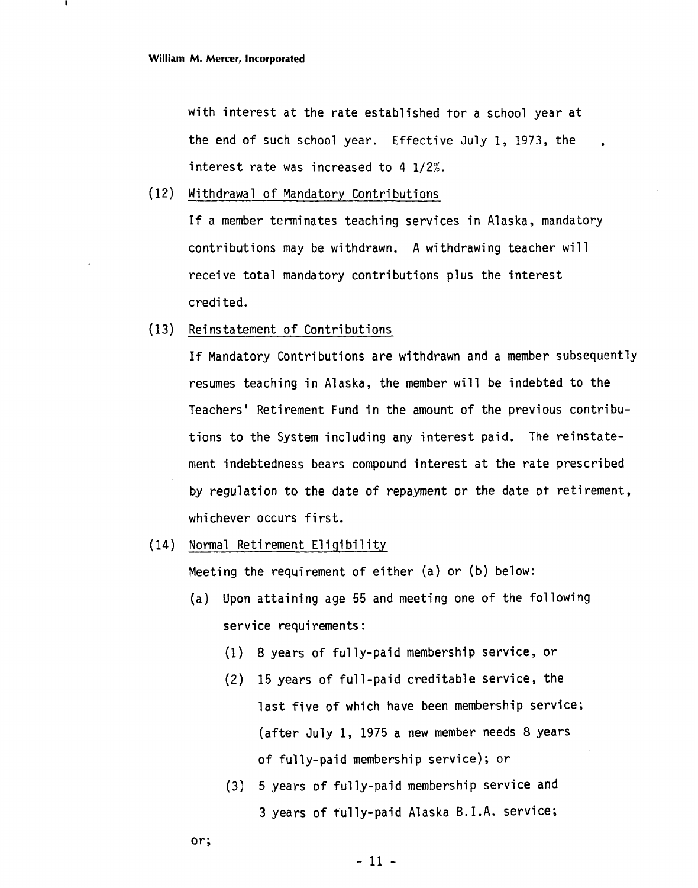with interest at the rate established tor a school year at the end of such school year. Effective July 1, 1973, the interest rate was increased to 4  $1/2%$ .

(12) Withdrawal of Mandatory Contributions

If a member terminates teaching services in Alaska, mandatory contributions may be withdrawn. A withdrawing teacher will receive total mandatory contributions plus the interest credited.

(13) Reinstatement of Contributions

If Mandatory Contributions are withdrawn and a member subsequently resumes teaching in Alaska, the member will be indebted to the Teachers' Retirement Fund in the amount of the previous contributions to the System including any interest paid. The reinstatement indebtedness bears compound interest at the rate prescribed by regulation to the date of repayment or the date ot retirement, whichever occurs first.

(14) Normal Retirement Eligibility

Meeting the requirement of either (a) or (b) below:

- (a) Upon attaining age 55 and meeting one of the following service requirements:
	- (1) 8 years of ful ly-paid membership service, or
	- (2) 15 years of full-paid creditable service, the last five of which have been membership service; (after July 1, 1975 a new member needs 8 years of fully-paid membership service); or
	- **(3)** 5 years of fully-paid membership service and **3** years of fully-paid Alaska B.I.A. service;
- or;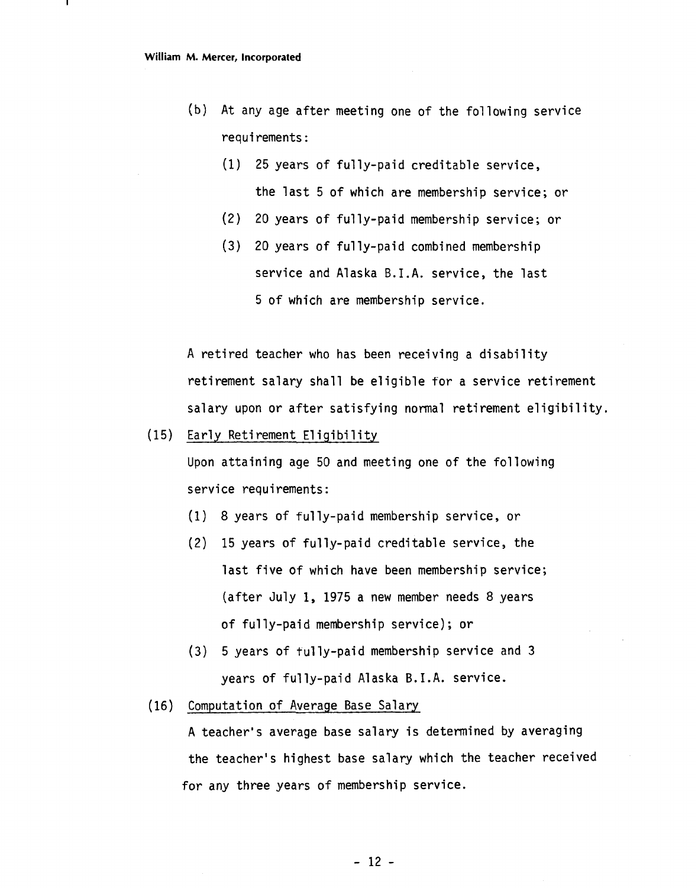- (b) At any age after meeting one of the following service requirements :
	- (1) 25 years of fully-paid creditable service, the last 5 of which are membership service; or
	- (2) 20 years of fully-paid membership service; or
	- (3) 20 years of fully-paid combined membership service and Alaska B.I.A. service, the last 5 of which are membership service.

A retired teacher who has been receiving a disability retirement salary shall be eligible for a service retirement salary upon or after satisfying normal retirement eligibility.

(15) Early Retirement Eligibility

Upon attaining age 50 and meeting one of the following service requirements:

- (1) 8 years of fully-paid membership service, or
- (2) 15 years of fully-paid creditable service, the last five of which have been membership service; (after July 1, 1975 a new member needs 8 years of ful ly-paid membership service) ; or
- **(3)** 5 years of tully-paid membership service and **3**  years of fully-paid Alaska B.I.A. service.
- (16) Computation of Average Base Salary

**<sup>A</sup>**teacher's average base salary is determined by averaging the teacher's highest base salary which the teacher received for any three years of membership service.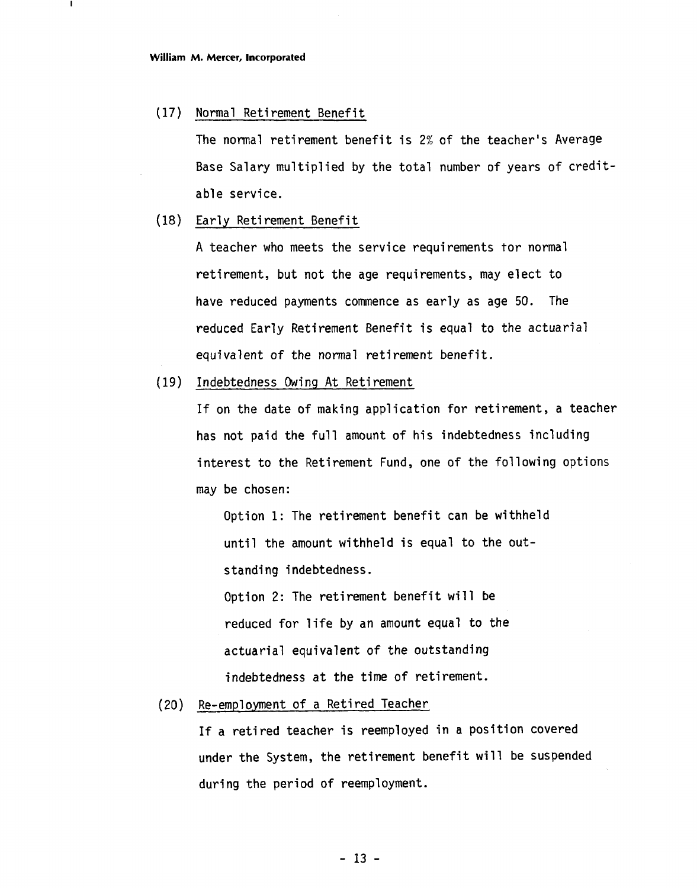(17) Normal Retirement Benefit

The normal retirement benefit is 2% of the teacher's Average Base Salary multiplied by the total number of years of creditable service.

(18) Early Retirement Benefit

A teacher who meets the service requirements tor normal retirement, but not the age requirements, may elect to have reduced payments commence as early as age 50. The reduced Early Retirement Benefit is equal to the actuarial equivalent of the normal retirement benefit.

Indebtedness Owing At Retirement

If on the date of making application for retirement, a teacher has not paid the full amount of his indebtedness including interest to the Retirement Fund, one of the following options may be chosen:

Option 1: The retirement benefit can be withheld until the amount withheld is equal to the outstanding indebtedness.

Option 2: The retirement benefit will be reduced for life by an amount equal to the actuarial equivalent of the outstanding indebtedness at the time of retirement.

Re-employment of a Retired Teacher  $(20)$ 

> If a retired teacher is reemployed in a position covered under the System, the retirement benefit will be suspended during the period of reemployment.

> > $-13 -$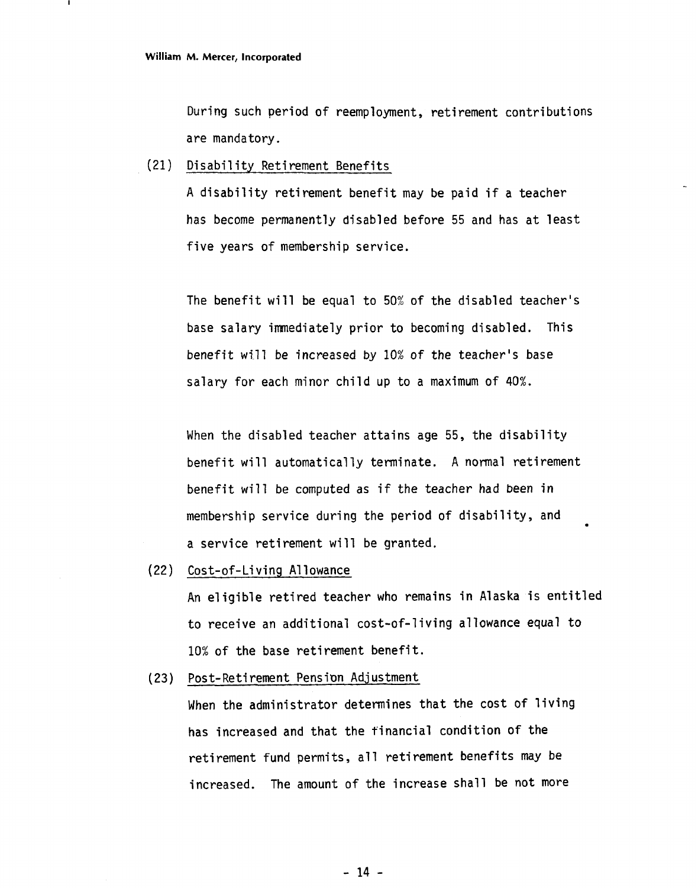During such period of reemployment, retirement contributions are mandatory.

(21) Disability Retirement Benefits

A disability retirement benefit may be paid if a teacher has become permanently disabled before 55 and has at least five years of membership service.

The benefit will be equal to 50% of the disabled teacher's base salary immediately prior to becoming disabled. This benefit will be increased by 10% of the teacher's base salary for each minor child up to a maximum of 40%.

When the disabled teacher attains age 55, the disability benefit will automatically terminate. A normal retirement benefit will be computed as if the teacher had been in membership service during the period of disability, and<br>a service retirement will be granted.

(22) Cost-of-Li ving A1 lowance

An eligible retired teacher who remains in Alaska is entitled to receive an additional cost-of-living allowance equal to 10% of the base retirement benefit.

(23) Post-Retirement Pension Adjustment

When the administrator determines that the cost of living has increased and that the financial condition of the retirement fund permits, all retirement benefits may be increased. The amount of the increase shall be not more

 $-14 -$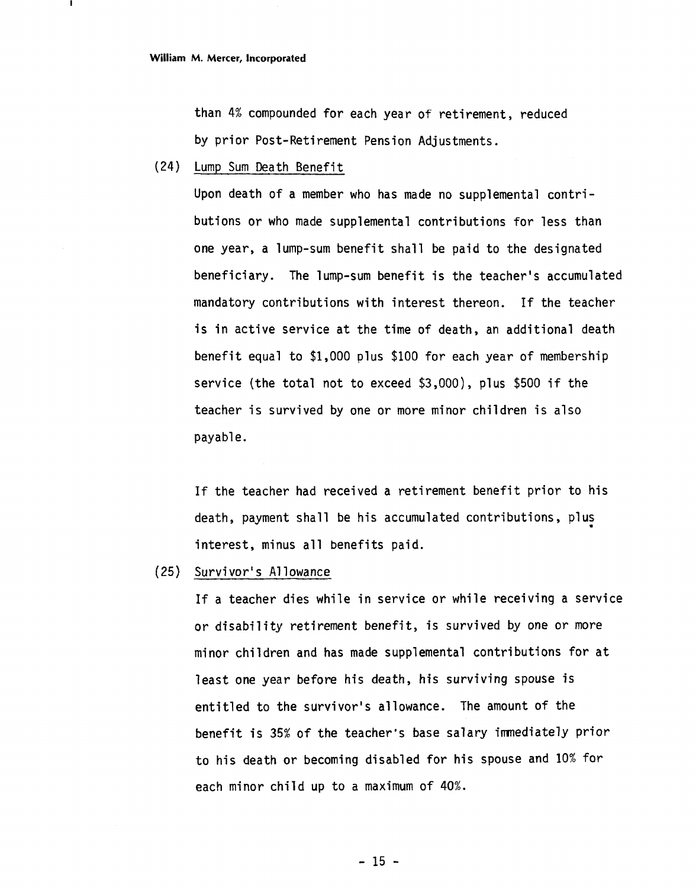than 4% compounded for each year of retirement, reduced by prior Post-Retirement Pension Adjustments.

(24) Lump Sum Death Benefit

Upon death of a member who has made no supplemental contributions or who made supplemental contributions for less than one year, a lump-sum benefit shall be paid to the designated beneficiary. The lump-sum benefit is the teacher's accumulated mandatory contributions with interest thereon. If the teacher is in active service at the time of death, an additional death benefit equal to \$1,000 plus \$100 for each year of membership service (the total not to exceed \$3,000), plus \$500 if the teacher is survived by one or more minor children is also payable.

If the teacher had received a retirement benefit prior to his death, payment shall be his accumulated contributions, plus interest, minus all benefits paid.

(25) Survivor' s A1 lowance

If a teacher dies while in service or while receiving a service or disability retirement benefit, is survived by one or more minor children and has made supplemental contributions for at least one year before his death, his surviving spouse is entitled to the survivor's allowance. The amount of the benefit is 35% of the teacher's base salary imnediately prior to his death or becoming disabled for his spouse and 10% for each minor child up to a maximum of 40%.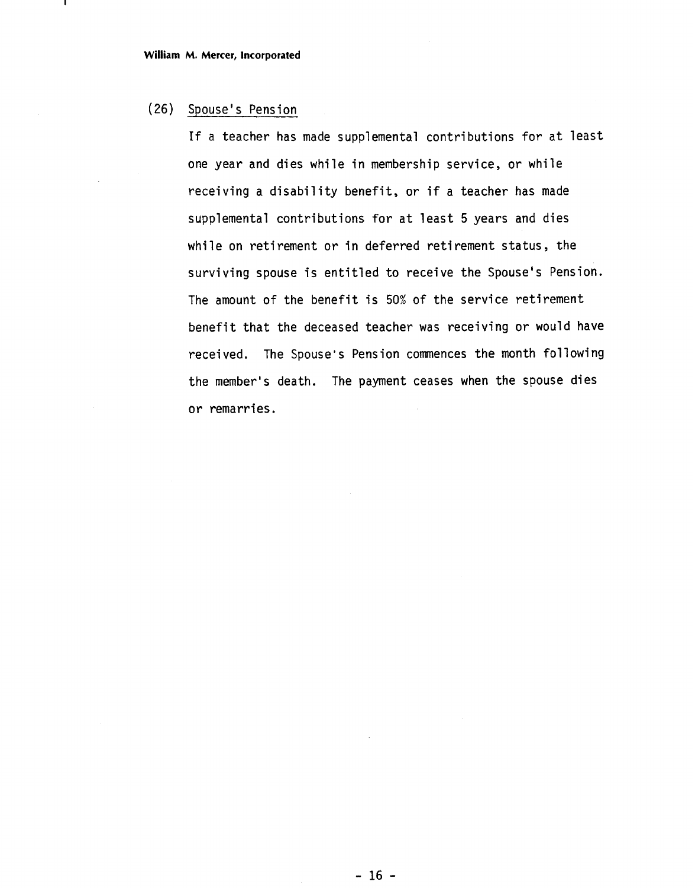# (26) Spouse' s Pension

If a teacher has made supplemental contributions for at least one year and dies while in membership service, or while receiving a disability benefit, or if a teacher has made supplemental contributions for at least 5 years and dies while on retirement or in deferred retirement status, the surviving spouse is entitled to receive the Spouse's Pension. The amount of the benefit is 50% of the service retirement benefit that the deceased teacher was receiving or would have received. The Spouse's Pension commences the month following the member's death. The payment ceases when the spouse dies or remarries.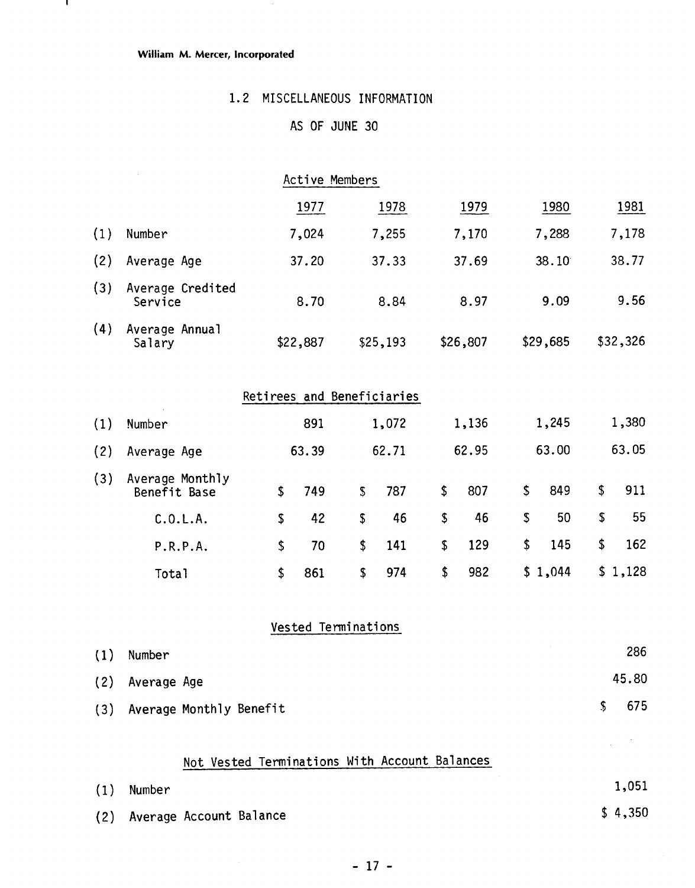#### **William M. Mercer, Incorporated**

 $\mathbf{I}$ 

# 1.2 MISCELLANEOUS INFORMATION

# AS OF JUNE 30

|     |                                 |                            | Active Members |               |          |           |           |           |
|-----|---------------------------------|----------------------------|----------------|---------------|----------|-----------|-----------|-----------|
|     |                                 |                            | 1977           |               | 1978     | 1979      | 1980      | 1981      |
| (1) | Number                          |                            | 7,024          |               | 7,255    | 7,170     | 7,288     | 7,178     |
| (2) | Average Age                     |                            | 37.20          |               | 37.33    | 37.69     | 38.10     | 38.77     |
| (3) | Average Credited<br>Service     |                            | 8.70           |               | 8.84     | 8.97      | 9.09      | 9.56      |
| (4) | Average Annual<br>Salary        |                            | \$22,887       |               | \$25,193 | \$26,807  | \$29,685  | \$32,326  |
|     |                                 | Retirees and Beneficiaries |                |               |          |           |           |           |
| (1) | Number                          |                            | 891            |               | 1,072    | 1,136     | 1,245     | 1,380     |
| (2) | Average Age                     |                            | 63.39          |               | 62.71    | 62.95     | 63.00     | 63.05     |
| (3) | Average Monthly<br>Benefit Base | \$                         | 749            | ${\mathbb S}$ | 787      | \$<br>807 | \$<br>849 | \$<br>911 |
|     | C.0.L.A.                        | \$                         | 42             | \$            | 46       | \$<br>46  | \$<br>50  | \$<br>55  |
|     | P.R.P.A.                        | \$                         | 70             | \$            | 141      | \$<br>129 | \$<br>145 | \$<br>162 |
|     | Total                           | \$                         | 861            | \$            | 974      | \$<br>982 | \$1,044   | \$1,128   |

# Vested Terminations

| (1) | Number                  |               | 286   |
|-----|-------------------------|---------------|-------|
|     | (2) Average Age         |               | 45.80 |
| (3) | Average Monthly Benefit | $\mathcal{S}$ | 675   |

# Not Vested Terminations With Account Balances

| (1) | Number                      | 1,051   |
|-----|-----------------------------|---------|
|     | (2) Average Account Balance | \$4,350 |

 $\mathcal{L}$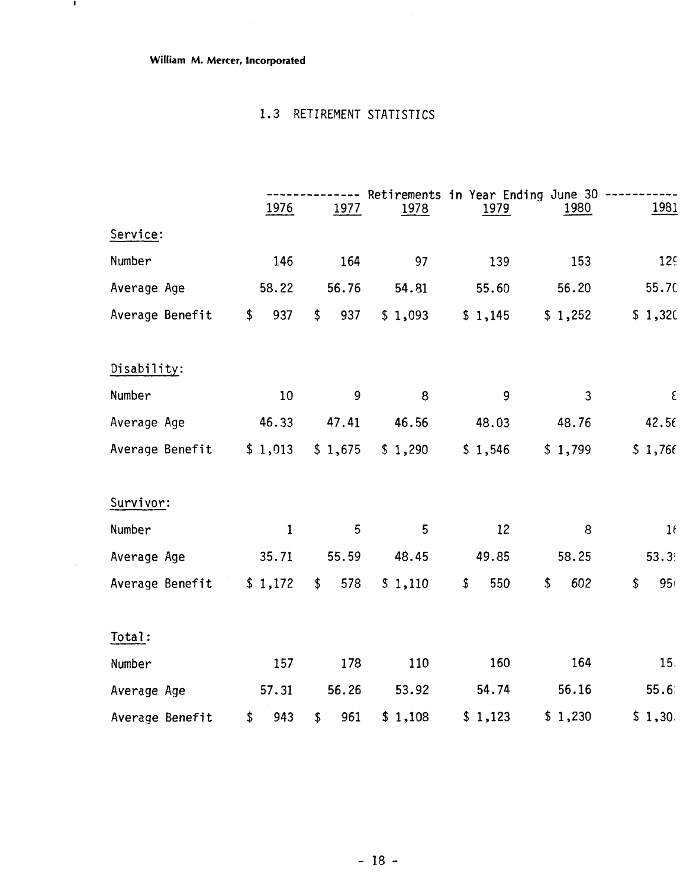**William M. Mercer, Incorporated** 

 $\sim$ 

- 11

# 1.3 RETIREMENT STATISTICS

|                 | 1976        | 1977      | 1978    | 1979      | Retirements in Year Ending June 30<br>1980 | <u>1981</u>     |
|-----------------|-------------|-----------|---------|-----------|--------------------------------------------|-----------------|
| Service:        |             |           |         |           |                                            |                 |
| Number          | 146         | 164       | 97      | 139       | 153                                        | 12 <sup>c</sup> |
| Average Age     | 58.22       | 56.76     | 54.81   | 55.60     | 56.20                                      | 55.70           |
| Average Benefit | \$<br>937   | \$<br>937 | \$1,093 | \$1,145   | \$1,252                                    | \$1,320         |
| Disability:     |             |           |         |           |                                            |                 |
| Number          | 10          | 9         | 8       | 9         | 3                                          | $\epsilon$      |
| Average Age     | 46.33       | 47.41     | 46.56   | 48.03     | 48.76                                      | 42.56           |
| Average Benefit | \$1,013     | \$1,675   | \$1,290 | \$1,546   | \$1,799                                    | \$1,766         |
| Survivor:       |             |           |         |           |                                            |                 |
| Number          | $\mathbf 1$ | 5         | 5       | 12        | 8                                          | 16              |
| Average Age     | 35.71       | 55.59     | 48.45   | 49.85     | 58.25                                      | 53.3            |
| Average Benefit | \$1,172     | \$<br>578 | \$1,110 | 550<br>\$ | \$<br>602                                  | \$<br>95        |
| Total:          |             |           |         |           |                                            |                 |
| Number          | 157         | 178       | 110     | 160       | 164                                        | 15.             |
| Average Age     | 57.31       | 56.26     | 53.92   | 54.74     | 56.16                                      | 55.6            |
| Average Benefit | \$<br>943   | 961<br>\$ | \$1,108 | \$1,123   | \$1,230                                    | \$1,30.         |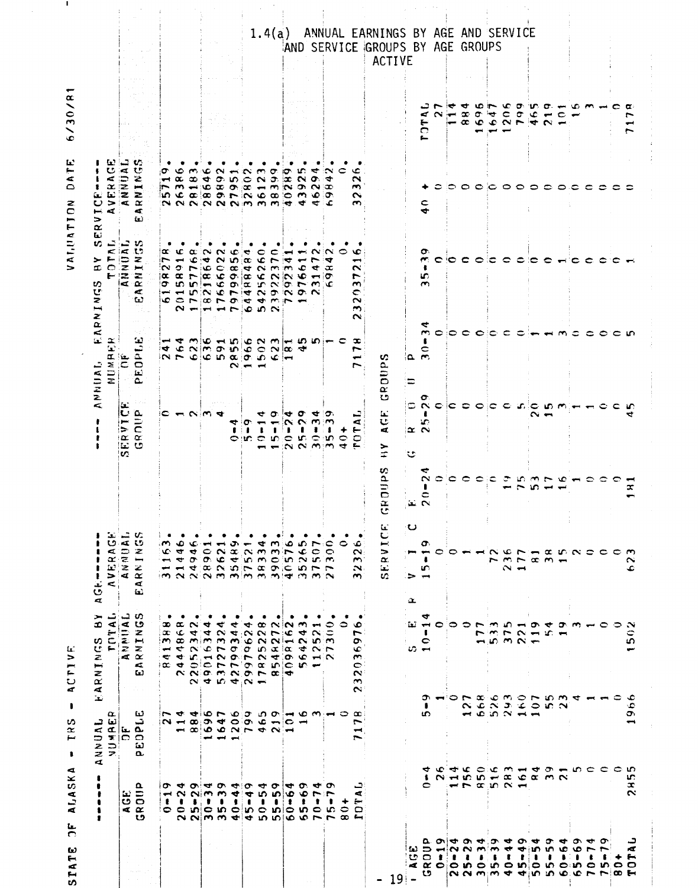|                                                                                       |                                                                                                                                                                                                                    | تعا تہ<br>$\leq$<br>ם אוד כ<br>ا  ج<br>$z$ $z$<br>đ                                                                               | ➤<br>œ<br>ωć<br>せき<br>Z<br>Ţ<br>$\mathbf{z}$<br>$\overline{a}$<br>نعا                                                                                                                                                                                                                                                                                                                                                                                                                                                                                                                                                                                                                                                                                                                                                                                                                     | U<br>$\sigma$<br>$\alpha$<br>$\mathbf{L}$<br>$\mathbf{r}$<br>$\rightarrow$<br>ŧ<br>تعا<br>v<br><b>A</b> |                                         |                                                                                              | $\bar{\mathbf{z}}$<br>$\propto$<br><b>ANNUAL</b><br><b>D</b>                                                                                                                           | ثعا<br>いこ<br>$\rightarrow$ $\leftarrow$<br>£G.<br>v<br>U<br>z<br>RNI                                                                                                                                                                                                                                                                                                                                                                                                                                                                                                                                                                                                                                                 | - 123<br>U<br>$\epsilon$<br>$\propto$<br>$\mathbf{r}$<br>$\omega$ $\omega$ $\approx$ $\approx$<br>◡<br>⊷ ⊄ :<br>⇒<br>$\propto$                                                                    |                                                    |                                                                                                |
|---------------------------------------------------------------------------------------|--------------------------------------------------------------------------------------------------------------------------------------------------------------------------------------------------------------------|-----------------------------------------------------------------------------------------------------------------------------------|-------------------------------------------------------------------------------------------------------------------------------------------------------------------------------------------------------------------------------------------------------------------------------------------------------------------------------------------------------------------------------------------------------------------------------------------------------------------------------------------------------------------------------------------------------------------------------------------------------------------------------------------------------------------------------------------------------------------------------------------------------------------------------------------------------------------------------------------------------------------------------------------|---------------------------------------------------------------------------------------------------------|-----------------------------------------|----------------------------------------------------------------------------------------------|----------------------------------------------------------------------------------------------------------------------------------------------------------------------------------------|----------------------------------------------------------------------------------------------------------------------------------------------------------------------------------------------------------------------------------------------------------------------------------------------------------------------------------------------------------------------------------------------------------------------------------------------------------------------------------------------------------------------------------------------------------------------------------------------------------------------------------------------------------------------------------------------------------------------|---------------------------------------------------------------------------------------------------------------------------------------------------------------------------------------------------|----------------------------------------------------|------------------------------------------------------------------------------------------------|
|                                                                                       |                                                                                                                                                                                                                    | $\alpha$<br>$\sigma$                                                                                                              | ت<br>$\blacktriangleleft$<br>ستع                                                                                                                                                                                                                                                                                                                                                                                                                                                                                                                                                                                                                                                                                                                                                                                                                                                          | Тg.<br>$\leq$                                                                                           |                                         |                                                                                              | 電                                                                                                                                                                                      | F(2)                                                                                                                                                                                                                                                                                                                                                                                                                                                                                                                                                                                                                                                                                                                 |                                                                                                                                                                                                   |                                                    |                                                                                                |
|                                                                                       | $\mathbf{E} \in \mathbf{S}$<br>$\leq$ $\alpha$                                                                                                                                                                     | ند ما                                                                                                                             | ് പ<br>∢ ७<br>EN XXX<br>$\leq \alpha$                                                                                                                                                                                                                                                                                                                                                                                                                                                                                                                                                                                                                                                                                                                                                                                                                                                     | ು ಎ<br>べい<br>$\Rightarrow$<br>ż.<br>'z z<br>i⊄ Œ                                                        |                                         | С.<br>$ {\bf{c}} $ $\alpha$<br><b>ERVIN</b><br>GROUI<br>v.                                   | ه بعد ه<br>$\overline{\mathbf{z}}$ $\overline{\mathbf{C}}$ $\overline{\mathbf{O}}$                                                                                                     | ' ລະ<br>< は む<br>527<br>l⊲ct Ω≤                                                                                                                                                                                                                                                                                                                                                                                                                                                                                                                                                                                                                                                                                      | - ಬ<br>$\blacktriangleleft$<br>$\oplus$<br>E.<br>$>\infty$                                                                                                                                        |                                                    |                                                                                                |
|                                                                                       | $\mathbf{a}$<br>い                                                                                                                                                                                                  | تنا<br>ت<br>ω<br>a.                                                                                                               | $\mathbb Z$<br>$\overline{\phantom{a}}$<br>$\epsilon$<br>U)                                                                                                                                                                                                                                                                                                                                                                                                                                                                                                                                                                                                                                                                                                                                                                                                                               | z<br>⊷<br>$\triangleleft$<br>極                                                                          |                                         |                                                                                              | 12<br>ت<br>ثط<br>م                                                                                                                                                                     | ≈<br>$\approx$<br>۰U                                                                                                                                                                                                                                                                                                                                                                                                                                                                                                                                                                                                                                                                                                 | モ<br>≈<br>إسبق<br>$\blacktriangleleft$<br>£.                                                                                                                                                      |                                                    |                                                                                                |
|                                                                                       | <b>EE E SIF E SIE</b>                                                                                                                                                                                              |                                                                                                                                   | $\bullet$<br>im colmimi                                                                                                                                                                                                                                                                                                                                                                                                                                                                                                                                                                                                                                                                                                                                                                                                                                                                   | $\bullet$<br>$\sim$<br>a doocddonon wo                                                                  |                                         | $\sim$ $ \sim$ $\sim$ $-$                                                                    | $\frac{1}{2}$ and $\frac{1}{2}$ and $\frac{1}{2}$ and $\frac{1}{2}$ and $\frac{1}{2}$ and $\frac{1}{2}$ and $\frac{1}{2}$<br>$ N \cap \Phi $ to the $\alpha$ $ \sigma $ the $ \sigma $ | x c<br>Ë.<br>$\sim$ $\sigma$<br>$ \alpha  \alpha \propto \Gamma  \alpha  \omega$ of $ \alpha  \alpha \propto \Gamma  \alpha  \omega$<br>$\sigma$ in in $\sim$ or $\alpha$ in $\sim$ or $\sim$ m/c<br>$-$ - 0.000 $\sim$ 0.1000 $\sim$ 0.000 $\sim$<br>$\begin{array}{c} \circ \mathbf{c} \\ \mathbf{c} \\ \mathbf{c} \\ \mathbf{c} \\ \mathbf{c} \\ \mathbf{c} \\ \mathbf{c} \\ \mathbf{c} \\ \mathbf{c} \\ \mathbf{c} \\ \mathbf{c} \\ \mathbf{c} \\ \mathbf{c} \\ \mathbf{c} \\ \mathbf{c} \\ \mathbf{c} \\ \mathbf{c} \\ \mathbf{c} \\ \mathbf{c} \\ \mathbf{c} \\ \mathbf{c} \\ \mathbf{c} \\ \mathbf{c} \\ \mathbf{c} \\ \mathbf{c} \\ \mathbf{c} \\ \mathbf{c} \\ \mathbf{c} \\ \mathbf{c} \\ \mathbf{c} \\ \$ | $\sigma$ is $\sigma$<br>$P$ $m \leftrightarrow 0$ $\infty$ $\infty$ $\infty$ $\rightarrow$ $m \times 0$ $\sim$<br>$\omega \propto \omega \propto \omega \propto \omega$ . $\omega \propto \omega$ |                                                    |                                                                                                |
|                                                                                       |                                                                                                                                                                                                                    |                                                                                                                                   | $\infty \propto \infty$                                                                                                                                                                                                                                                                                                                                                                                                                                                                                                                                                                                                                                                                                                                                                                                                                                                                   |                                                                                                         |                                         |                                                                                              |                                                                                                                                                                                        | $\overline{\phantom{a}}$<br>$\sim$ $-$                                                                                                                                                                                                                                                                                                                                                                                                                                                                                                                                                                                                                                                                               |                                                                                                                                                                                                   |                                                    |                                                                                                |
|                                                                                       |                                                                                                                                                                                                                    |                                                                                                                                   |                                                                                                                                                                                                                                                                                                                                                                                                                                                                                                                                                                                                                                                                                                                                                                                                                                                                                           | $\bullet$ $\bullet$ $\bullet$                                                                           |                                         |                                                                                              |                                                                                                                                                                                        | $\alpha$<br><b>ت</b>                                                                                                                                                                                                                                                                                                                                                                                                                                                                                                                                                                                                                                                                                                 |                                                                                                                                                                                                   |                                                    |                                                                                                |
|                                                                                       |                                                                                                                                                                                                                    |                                                                                                                                   | $\blacktriangleleft$                                                                                                                                                                                                                                                                                                                                                                                                                                                                                                                                                                                                                                                                                                                                                                                                                                                                      |                                                                                                         |                                         |                                                                                              |                                                                                                                                                                                        | $\ddot{\phantom{a}}$                                                                                                                                                                                                                                                                                                                                                                                                                                                                                                                                                                                                                                                                                                 | ℃                                                                                                                                                                                                 |                                                    |                                                                                                |
|                                                                                       |                                                                                                                                                                                                                    | يسي عبي                                                                                                                           | $\ddot{\phantom{0}}$                                                                                                                                                                                                                                                                                                                                                                                                                                                                                                                                                                                                                                                                                                                                                                                                                                                                      | $\rightarrow$                                                                                           |                                         |                                                                                              |                                                                                                                                                                                        | $\sim$                                                                                                                                                                                                                                                                                                                                                                                                                                                                                                                                                                                                                                                                                                               | $\sim$                                                                                                                                                                                            |                                                    |                                                                                                |
|                                                                                       |                                                                                                                                                                                                                    | $\overline{\phantom{a}}$                                                                                                          |                                                                                                                                                                                                                                                                                                                                                                                                                                                                                                                                                                                                                                                                                                                                                                                                                                                                                           | $\sigma -$                                                                                              |                                         |                                                                                              |                                                                                                                                                                                        | ۱¢۰                                                                                                                                                                                                                                                                                                                                                                                                                                                                                                                                                                                                                                                                                                                  | $\overline{\phantom{a}}$                                                                                                                                                                          |                                                    |                                                                                                |
|                                                                                       | $\sigma$ and $\sigma$ and $\sigma$ and $\sigma$<br>$ \alpha$ $\alpha$ $\omega$ $\omega$ $\alpha$ $\alpha$ $\alpha$ $\alpha$<br>$\circ \circ \mathfrak{w} \circ \mathfrak{w} \circ \mathfrak{w} \circ \mathfrak{w}$ | $N \rightarrow \infty$ of $\sigma$ of $\sigma \rightarrow \infty$<br>$ \infty$ $\circ$ $\circ$ $\sim$ $\sim$ $\sim$ $\sim$ $\sim$ | 44<br>$\alpha$ G $\alpha$ d $\alpha$ d $\alpha$ D $\alpha$ D $\alpha$<br>$M_{\rm H} \approx 2.00$<br>A 4 N'ON 0 0 10 X 10 4 N N<br><b>G &amp; L &amp; V Q L V &amp; Q &amp; H V</b><br>a d o c r r o a n c n —<br>$\begin{array}{c} \mathcal{N} \times \mathcal{N} \times \mathcal{N} \times \mathcal{N} \times \mathcal{N} \times \mathcal{N} \times \mathcal{N} \times \mathcal{N} \times \mathcal{N} \times \mathcal{N} \times \mathcal{N} \times \mathcal{N} \times \mathcal{N} \times \mathcal{N} \times \mathcal{N} \times \mathcal{N} \times \mathcal{N} \times \mathcal{N} \times \mathcal{N} \times \mathcal{N} \times \mathcal{N} \times \mathcal{N} \times \mathcal{N} \times \mathcal{N} \times \mathcal{N} \times \mathcal{N} \times \mathcal{N$<br>$\begin{array}{ccccccccccccc}\n\mathbf{C} & \mathbf{A} & \mathbf{C} & \mathbf{C} & \mathbf{C} & \mathbf{C}\n\end{array}$ | GEEONGNMMFCOO                                                                                           |                                         | ≂ : თ<br>$\begin{array}{ccc} \bullet & \bullet & \bullet & \bullet \end{array}$<br>oinc no n | $\left[ -1 \right]$ and $\left[ -1 \right]$ and $\left[ -1 \right]$ and $\left[ -1 \right]$ and $\left[ -1 \right]$ and $\left[ -1 \right]$ and $\left[ -1 \right]$<br>$\sim$ $ -$     | ie.<br>$N$ in $\alpha$ is $\alpha \vdash \tau$<br>$P$ $Q$ $C$ $Q$ $Q$ $Q$ $N$ $N$ $m$<br>$H \leftrightarrow F$ to the $N$                                                                                                                                                                                                                                                                                                                                                                                                                                                                                                                                                                                            | $\sim$<br>$ \alpha$ $\alpha$ $\sigma$ $\alpha$ $\alpha$ $\alpha$<br>NNNNNMMM <del>ddd</del>                                                                                                       |                                                    |                                                                                                |
|                                                                                       |                                                                                                                                                                                                                    |                                                                                                                                   | $\infty$                                                                                                                                                                                                                                                                                                                                                                                                                                                                                                                                                                                                                                                                                                                                                                                                                                                                                  | $\blacktriangleleft$                                                                                    |                                         | ᡇᢁ<br>$\blacksquare$                                                                         |                                                                                                                                                                                        | $\bullet$                                                                                                                                                                                                                                                                                                                                                                                                                                                                                                                                                                                                                                                                                                            | $\sim$                                                                                                                                                                                            |                                                    |                                                                                                |
|                                                                                       | ٠                                                                                                                                                                                                                  |                                                                                                                                   | $\sim$                                                                                                                                                                                                                                                                                                                                                                                                                                                                                                                                                                                                                                                                                                                                                                                                                                                                                    | $\sim$                                                                                                  |                                         | $\blacksquare$                                                                               |                                                                                                                                                                                        | $\epsilon$                                                                                                                                                                                                                                                                                                                                                                                                                                                                                                                                                                                                                                                                                                           | o.                                                                                                                                                                                                |                                                    |                                                                                                |
|                                                                                       | ₩<br>$\bullet$                                                                                                                                                                                                     |                                                                                                                                   | ٠<br>iN.                                                                                                                                                                                                                                                                                                                                                                                                                                                                                                                                                                                                                                                                                                                                                                                                                                                                                  | ه                                                                                                       |                                         | ∶, er<br>$\sim$<br>1. B                                                                      |                                                                                                                                                                                        | $\sim$ $-$                                                                                                                                                                                                                                                                                                                                                                                                                                                                                                                                                                                                                                                                                                           | кÞ<br>ice.                                                                                                                                                                                        |                                                    |                                                                                                |
|                                                                                       | o.<br>$\bullet$                                                                                                                                                                                                    |                                                                                                                                   |                                                                                                                                                                                                                                                                                                                                                                                                                                                                                                                                                                                                                                                                                                                                                                                                                                                                                           |                                                                                                         |                                         | o<br>$\sim$                                                                                  |                                                                                                                                                                                        | $\leftarrow$<br>¢.                                                                                                                                                                                                                                                                                                                                                                                                                                                                                                                                                                                                                                                                                                   | w.<br>$\sim$                                                                                                                                                                                      |                                                    |                                                                                                |
|                                                                                       | ≂<br>$\overline{ }$<br>$\begin{array}{cccccccccc} 0 & 0 & 0 & 0 \\ 0 & 0 & 0 & 0 \\ 0 & 0 & 0 & 0 \\ \end{array}$<br>$\circ$ in $\circ$                                                                            |                                                                                                                                   | $\sim$<br>ഗത                                                                                                                                                                                                                                                                                                                                                                                                                                                                                                                                                                                                                                                                                                                                                                                                                                                                              | $\mathbf{D} \sim \mathbf{C}$                                                                            |                                         | ক ⊙<br>$\omega$ is $\omega$<br>IN N MIM                                                      |                                                                                                                                                                                        | ∼<br>$\star x$                                                                                                                                                                                                                                                                                                                                                                                                                                                                                                                                                                                                                                                                                                       | ₹<br>o.                                                                                                                                                                                           |                                                    |                                                                                                |
|                                                                                       | ᡡ<br>∼<br><b>SC</b>                                                                                                                                                                                                |                                                                                                                                   | $\bullet$                                                                                                                                                                                                                                                                                                                                                                                                                                                                                                                                                                                                                                                                                                                                                                                                                                                                                 |                                                                                                         |                                         | $\mathbf{I}$<br>⊂∷ທ                                                                          |                                                                                                                                                                                        | . G                                                                                                                                                                                                                                                                                                                                                                                                                                                                                                                                                                                                                                                                                                                  | ÷<br>ూ                                                                                                                                                                                            |                                                    |                                                                                                |
|                                                                                       | ≎                                                                                                                                                                                                                  |                                                                                                                                   |                                                                                                                                                                                                                                                                                                                                                                                                                                                                                                                                                                                                                                                                                                                                                                                                                                                                                           | $\circ$                                                                                                 |                                         | ۰<br>$\circ$<br>$\blacktriangledown$                                                         |                                                                                                                                                                                        | ∘                                                                                                                                                                                                                                                                                                                                                                                                                                                                                                                                                                                                                                                                                                                    |                                                                                                                                                                                                   |                                                    |                                                                                                |
|                                                                                       | د<br>A.<br>⊷<br>$\Box$<br>NNMM did mmolo whit of the                                                                                                                                                               | $\infty$<br>$\overline{\phantom{0}}$<br>↤<br>$\sim$                                                                               | ه<br>r:<br>Ö<br>Ğ.<br>$\sim$<br>$\bullet$<br>$\sim$<br>$\sim$<br>$\sim$                                                                                                                                                                                                                                                                                                                                                                                                                                                                                                                                                                                                                                                                                                                                                                                                                   | ٠o<br>$\sim$<br>$\sim$<br>$\mathbf{N}$ .<br>$\sim$                                                      |                                         | ⋖<br>⊢<br>$\circ$<br>÷.                                                                      | $\bm{x}$<br>r                                                                                                                                                                          | ۱o<br>$\overline{\phantom{a}}$<br>$\sim$<br>r'<br>$\sim$<br>C<br>$\sim$<br>$\sim$<br>$\sim$                                                                                                                                                                                                                                                                                                                                                                                                                                                                                                                                                                                                                          | ١¢<br>$\sim$<br>$\sim$<br>$\sim$<br>$\sim$                                                                                                                                                        |                                                    |                                                                                                |
|                                                                                       |                                                                                                                                                                                                                    |                                                                                                                                   |                                                                                                                                                                                                                                                                                                                                                                                                                                                                                                                                                                                                                                                                                                                                                                                                                                                                                           | $\mathbf{L}$<br>Ü<br>إسبار<br>$\Rightarrow$<br>$\alpha$<br>نعا<br>$\mathcal{L}^{\pm}$<br>w              | υ.<br>Δ.<br>$\bar{E}$<br>$\propto$<br>U | U<br>×.<br>⋗<br>÷                                                                            | GROUPS                                                                                                                                                                                 |                                                                                                                                                                                                                                                                                                                                                                                                                                                                                                                                                                                                                                                                                                                      |                                                                                                                                                                                                   |                                                    | 1.4(a) ANNUAL EARNINGS BY AGE AND SERVICE<br>AND SERVICE GROUPS BY AGE GROUPS<br><b>ACTIVE</b> |
|                                                                                       |                                                                                                                                                                                                                    |                                                                                                                                   | ທ⊶                                                                                                                                                                                                                                                                                                                                                                                                                                                                                                                                                                                                                                                                                                                                                                                                                                                                                        | ن∙<br>$\overline{\phantom{a}}$<br>G.<br>><br>Œ                                                          | نت ت                                    | $\propto \infty$<br>$\ddot{\circ}$                                                           | $\alpha$ m<br>⋍                                                                                                                                                                        |                                                                                                                                                                                                                                                                                                                                                                                                                                                                                                                                                                                                                                                                                                                      |                                                                                                                                                                                                   |                                                    |                                                                                                |
|                                                                                       | 0                                                                                                                                                                                                                  | t.                                                                                                                                | ▿<br>-<br>¢<br>Œ.                                                                                                                                                                                                                                                                                                                                                                                                                                                                                                                                                                                                                                                                                                                                                                                                                                                                         | o.<br>$\blacksquare$<br>S.<br>$\overline{\phantom{0}}$                                                  | $\scriptstyle\sim$<br>0                 | ъe                                                                                           | $\sim$<br>c                                                                                                                                                                            | S.<br>$\sim$                                                                                                                                                                                                                                                                                                                                                                                                                                                                                                                                                                                                                                                                                                         | ÷                                                                                                                                                                                                 | ت<br>$\blacksquare$<br>⊷<br>$\mathbf{\Box}$<br>£., |                                                                                                |
| ぽっしょうりょう<br><b>UOII</b>                                                               | $1$ $N$ $\leftrightarrow$ $10$ $M$ $\leftrightarrow$ $20$ $Q$ $\&$ $m$ $N$                                                                                                                                         |                                                                                                                                   |                                                                                                                                                                                                                                                                                                                                                                                                                                                                                                                                                                                                                                                                                                                                                                                                                                                                                           | $\circ$                                                                                                 |                                         | $\circ$ $\circ$ $\circ$ $\circ$                                                              | $\bullet$                                                                                                                                                                              | cio di dia d                                                                                                                                                                                                                                                                                                                                                                                                                                                                                                                                                                                                                                                                                                         |                                                                                                                                                                                                   | 7544656956-<br>$\alpha - \infty$                   |                                                                                                |
|                                                                                       |                                                                                                                                                                                                                    | $\sim 10^{-1}$                                                                                                                    |                                                                                                                                                                                                                                                                                                                                                                                                                                                                                                                                                                                                                                                                                                                                                                                                                                                                                           | $\circ$                                                                                                 | ာ င                                     |                                                                                              |                                                                                                                                                                                        |                                                                                                                                                                                                                                                                                                                                                                                                                                                                                                                                                                                                                                                                                                                      |                                                                                                                                                                                                   |                                                    |                                                                                                |
|                                                                                       |                                                                                                                                                                                                                    |                                                                                                                                   |                                                                                                                                                                                                                                                                                                                                                                                                                                                                                                                                                                                                                                                                                                                                                                                                                                                                                           |                                                                                                         |                                         |                                                                                              |                                                                                                                                                                                        |                                                                                                                                                                                                                                                                                                                                                                                                                                                                                                                                                                                                                                                                                                                      |                                                                                                                                                                                                   |                                                    |                                                                                                |
| $\mathbf{1}$ $\mathbf{3}$ $\mathbf{1}$ $\mathbf{1}$                                   | $  \alpha$ $n \alpha$ $-$                                                                                                                                                                                          |                                                                                                                                   |                                                                                                                                                                                                                                                                                                                                                                                                                                                                                                                                                                                                                                                                                                                                                                                                                                                                                           |                                                                                                         | $\epsilon$                              | $C \subset C$ if                                                                             | io o olo c                                                                                                                                                                             |                                                                                                                                                                                                                                                                                                                                                                                                                                                                                                                                                                                                                                                                                                                      |                                                                                                                                                                                                   | $-\infty$ $\infty$ $\infty$ $\sim$                 |                                                                                                |
|                                                                                       |                                                                                                                                                                                                                    |                                                                                                                                   |                                                                                                                                                                                                                                                                                                                                                                                                                                                                                                                                                                                                                                                                                                                                                                                                                                                                                           |                                                                                                         | ÷c                                      |                                                                                              |                                                                                                                                                                                        |                                                                                                                                                                                                                                                                                                                                                                                                                                                                                                                                                                                                                                                                                                                      |                                                                                                                                                                                                   | $\frac{1}{2}$                                      |                                                                                                |
|                                                                                       |                                                                                                                                                                                                                    |                                                                                                                                   | m, m, m, m                                                                                                                                                                                                                                                                                                                                                                                                                                                                                                                                                                                                                                                                                                                                                                                                                                                                                | $\sim$ $-$                                                                                              | $\tilde{\mathcal{C}}$                   |                                                                                              |                                                                                                                                                                                        |                                                                                                                                                                                                                                                                                                                                                                                                                                                                                                                                                                                                                                                                                                                      |                                                                                                                                                                                                   |                                                    |                                                                                                |
|                                                                                       |                                                                                                                                                                                                                    |                                                                                                                                   |                                                                                                                                                                                                                                                                                                                                                                                                                                                                                                                                                                                                                                                                                                                                                                                                                                                                                           |                                                                                                         |                                         |                                                                                              |                                                                                                                                                                                        | ⊂                                                                                                                                                                                                                                                                                                                                                                                                                                                                                                                                                                                                                                                                                                                    |                                                                                                                                                                                                   | $\sigma$                                           |                                                                                                |
| ∩ו חוד <del>ס</del><br>$\mathbf{r}$ : $\mathbf{r}$                                    |                                                                                                                                                                                                                    | へんぺつよつか                                                                                                                           | フラフクード1                                                                                                                                                                                                                                                                                                                                                                                                                                                                                                                                                                                                                                                                                                                                                                                                                                                                                   | $P$ $m$ $P$ $\alpha$ $m$ $m$                                                                            |                                         | c                                                                                            |                                                                                                                                                                                        | c                                                                                                                                                                                                                                                                                                                                                                                                                                                                                                                                                                                                                                                                                                                    |                                                                                                                                                                                                   | عہ<br>∸                                            |                                                                                                |
| $\bullet$                                                                             |                                                                                                                                                                                                                    |                                                                                                                                   |                                                                                                                                                                                                                                                                                                                                                                                                                                                                                                                                                                                                                                                                                                                                                                                                                                                                                           |                                                                                                         |                                         | <u>ທ</u> ຕ                                                                                   |                                                                                                                                                                                        |                                                                                                                                                                                                                                                                                                                                                                                                                                                                                                                                                                                                                                                                                                                      |                                                                                                                                                                                                   | $\overline{\phantom{a}}$<br>$\sim$                 |                                                                                                |
| <b>0.010.01.010.010.0</b><br><b>vo</b><br>$\bullet$<br>« « ojo n o n o njo n o n o nj |                                                                                                                                                                                                                    | $\sim$                                                                                                                            |                                                                                                                                                                                                                                                                                                                                                                                                                                                                                                                                                                                                                                                                                                                                                                                                                                                                                           |                                                                                                         | $\mathbf{c}$ $\mathbf{r}$               |                                                                                              |                                                                                                                                                                                        |                                                                                                                                                                                                                                                                                                                                                                                                                                                                                                                                                                                                                                                                                                                      |                                                                                                                                                                                                   | c                                                  |                                                                                                |
| $\bullet$<br>$\mathbf{r}$                                                             |                                                                                                                                                                                                                    |                                                                                                                                   | ぽ HOOOPMSIO 40 m 1<br><b>AONGOMONDMAA</b>                                                                                                                                                                                                                                                                                                                                                                                                                                                                                                                                                                                                                                                                                                                                                                                                                                                 |                                                                                                         |                                         |                                                                                              |                                                                                                                                                                                        |                                                                                                                                                                                                                                                                                                                                                                                                                                                                                                                                                                                                                                                                                                                      | booboobo.cc                                                                                                                                                                                       | <u>ഗത</u>                                          |                                                                                                |
| ₩ თ<br>$\overline{r}$<br>$\bullet$                                                    |                                                                                                                                                                                                                    |                                                                                                                                   |                                                                                                                                                                                                                                                                                                                                                                                                                                                                                                                                                                                                                                                                                                                                                                                                                                                                                           |                                                                                                         |                                         |                                                                                              | ≎                                                                                                                                                                                      |                                                                                                                                                                                                                                                                                                                                                                                                                                                                                                                                                                                                                                                                                                                      |                                                                                                                                                                                                   |                                                    |                                                                                                |
| $\blacksquare$                                                                        | すらすとりらき149150005                                                                                                                                                                                                   |                                                                                                                                   | e                                                                                                                                                                                                                                                                                                                                                                                                                                                                                                                                                                                                                                                                                                                                                                                                                                                                                         | <b>HHNGNHAMNOCOM</b>                                                                                    |                                         |                                                                                              | 00 ທ                                                                                                                                                                                   |                                                                                                                                                                                                                                                                                                                                                                                                                                                                                                                                                                                                                                                                                                                      | - ၁- ၁- ၁                                                                                                                                                                                         |                                                    |                                                                                                |
| ۰<br>$\circ$ $\circ$                                                                  |                                                                                                                                                                                                                    |                                                                                                                                   | ာ                                                                                                                                                                                                                                                                                                                                                                                                                                                                                                                                                                                                                                                                                                                                                                                                                                                                                         |                                                                                                         |                                         |                                                                                              |                                                                                                                                                                                        |                                                                                                                                                                                                                                                                                                                                                                                                                                                                                                                                                                                                                                                                                                                      |                                                                                                                                                                                                   |                                                    |                                                                                                |
| ⊏<br>Æ<br>÷.                                                                          | m<br>$\mathbf{r}$<br>$\sim$                                                                                                                                                                                        | ۰٥<br>ూ<br>$\overline{\phantom{a}}$                                                                                               | N<br>≎<br>ທ<br>œ<br>∙                                                                                                                                                                                                                                                                                                                                                                                                                                                                                                                                                                                                                                                                                                                                                                                                                                                                     | $\sim$<br>عہ                                                                                            | ≍                                       | ĩС.                                                                                          |                                                                                                                                                                                        |                                                                                                                                                                                                                                                                                                                                                                                                                                                                                                                                                                                                                                                                                                                      |                                                                                                                                                                                                   | $\alpha$<br>r                                      |                                                                                                |

 $\sim 100$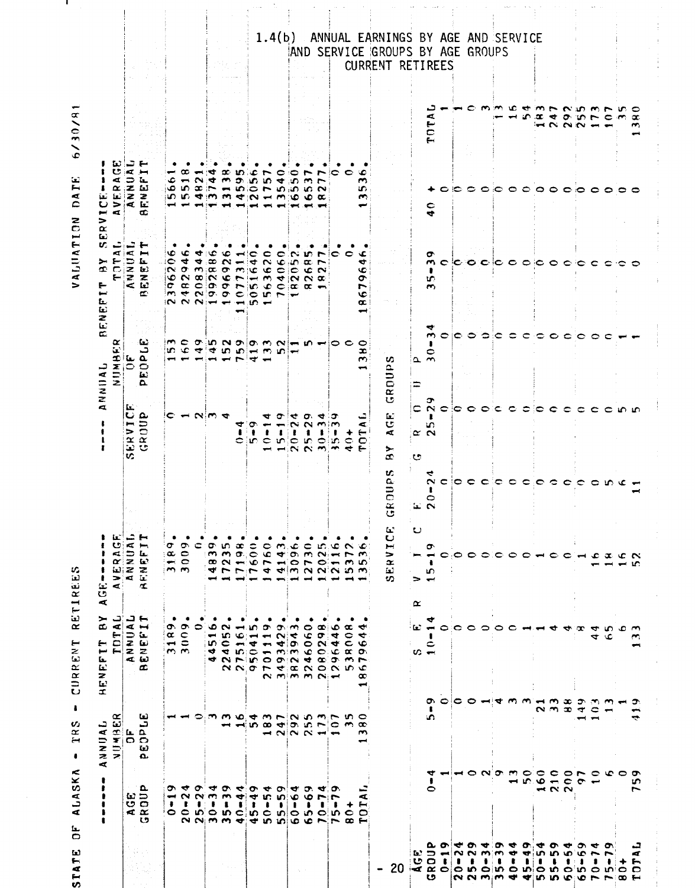|                                                                                                               |                                                                                        | $\frac{30988}{950956}$<br>$\frac{L}{2}$<br>$\prec$      | $\Box$<br>≻<br>$\mathbf{I}$<br>œ<br>$\overline{E}$<br>$\overline{\phantom{a}}$<br>سم<br>ENEF<br>$\bar{x}$                   | ပ<br>×.<br>$\mathbf{r}$<br>Œ.<br>అ<br>$\dot{\mathbf{r}}$                                                                                                    |                           |                                                                      | <b>BENEF</b><br>α<br>$\mathbf{u}$<br>ANNNIAL                                                                                                                                                                                                                                                                                                                                                                                                                                                                                                            | $\mathbf{L}$<br>しこ<br>4<br>≻<br>œ<br>►<br>►                                                                                                                                                                                                                    | Ш<br>ၒ<br>⋖<br>ĩт.<br>ပ<br>$\sim$<br>$\overline{\phantom{a}}$<br>$\Rightarrow$<br>$\propto$                                      |                                                         |                  |
|---------------------------------------------------------------------------------------------------------------|----------------------------------------------------------------------------------------|---------------------------------------------------------|-----------------------------------------------------------------------------------------------------------------------------|-------------------------------------------------------------------------------------------------------------------------------------------------------------|---------------------------|----------------------------------------------------------------------|---------------------------------------------------------------------------------------------------------------------------------------------------------------------------------------------------------------------------------------------------------------------------------------------------------------------------------------------------------------------------------------------------------------------------------------------------------------------------------------------------------------------------------------------------------|----------------------------------------------------------------------------------------------------------------------------------------------------------------------------------------------------------------------------------------------------------------|----------------------------------------------------------------------------------------------------------------------------------|---------------------------------------------------------|------------------|
|                                                                                                               |                                                                                        |                                                         | ہ د<br>$\frac{1}{2}$<br>$\overline{z}$ $\overline{z}$                                                                       | ⋖<br>コロ<br>$\alpha \geq \omega$<br>回2 2<br>$\frac{1}{4}$                                                                                                    |                           | Ŀ.<br><b>ERVI</b><br>GROU<br>v.                                      | NUMBI<br>DEOPI                                                                                                                                                                                                                                                                                                                                                                                                                                                                                                                                          | ↩<br>$E = E$<br>$\overline{z}$ $\overline{z}$                                                                                                                                                                                                                  | ¦.⊄<br>⊾ ⊂<br>$\alpha$ $z$ $\omega$<br>$\mathbf{E}$ 2 2<br>> 4                                                                   |                                                         |                  |
|                                                                                                               | Δ.<br><b>SS</b><br>$\approx \alpha$<br>い                                               |                                                         | $\sim$ $\rightarrow$<br>د ت<br>œ                                                                                            | بسخ                                                                                                                                                         |                           | ပေမ                                                                  | -62<br>د                                                                                                                                                                                                                                                                                                                                                                                                                                                                                                                                                | ┺<br>кгн<br>$\leq$ 12<br>f.                                                                                                                                                                                                                                    | コド<br>صر<br>œ                                                                                                                    |                                                         |                  |
|                                                                                                               | $\ddot{\phantom{a}}$                                                                   |                                                         | ٠<br>$\alpha$<br>$\overline{\phantom{a}}$                                                                                   | σ<br>$\alpha$<br>$\rightarrow$                                                                                                                              |                           | c                                                                    | im.                                                                                                                                                                                                                                                                                                                                                                                                                                                                                                                                                     | v<br>ಃ೦<br>1O<br>o                                                                                                                                                                                                                                             | ء<br>۱Q                                                                                                                          |                                                         |                  |
|                                                                                                               | <u>ሙ ተ</u><br>-                                                                        |                                                         | თ.<br>$\frac{c}{c}$<br>m, m                                                                                                 | o.<br>$\circ$<br>$\blacksquare$ $\blacksquare$<br>$\mathbf{r}$                                                                                              |                           |                                                                      |                                                                                                                                                                                                                                                                                                                                                                                                                                                                                                                                                         | ۹C<br>4<br>$\sim$                                                                                                                                                                                                                                              | œ<br>$\blacksquare$<br>in.                                                                                                       |                                                         |                  |
|                                                                                                               | $ \sim$ $\sim$ $\sim$<br>$\blacksquare$<br>o o no n c n c n o n o n c<br>NNMM dannochr |                                                         |                                                                                                                             | c                                                                                                                                                           |                           | $-2.004$                                                             | $C$ $T$ $D$ $R$ $D$ $T$ $D$ $R$ $R$ $R$ $R$ $R$ $R$ $C$<br>$ {\mathfrak v}\!\!\rangle\!{\mathfrak o}\!{\mathfrak o}\!{\mathfrak o}\!{\mathfrak o}\!{\mathfrak o}\!{\mathfrak o}\!{\mathfrak o}\!{\mathfrak o}\!{\mathfrak o}\!{\mathfrak o}\!{\mathfrak o}\!{\mathfrak o}\!{\mathfrak o}\!{\mathfrak o}\!{\mathfrak o}\!{\mathfrak o}\!{\mathfrak o}\!{\mathfrak o}\!{\mathfrak o}\!{\mathfrak o}\!{\mathfrak o}\!{\mathfrak o}\!{\mathfrak o}\!{\mathfrak o}\!{\mathfrak o}\!{\mathfrak o}\!{\mathfrak o}\!{\mathfrak o}\!{\mathfrak o}\!{\mathfrak o$ | ₩<br>$ N $ $\sigma$ $m$ $ a $ $\sigma$ $m$ $ c $ $ c $ $c $ $c $ $c$ $N$<br>$\alpha = 0 \text{ or } \alpha = 0 \text{ or } \alpha = 0$<br>$ m \neq n$ $ o \ o \ o$ $ o \ n \sim$<br>$\overline{N}$ $\overline{N}$ $\overline{N}$ $\overline{N}$ $\overline{N}$ | بسيبه<br>$\sim$<br>$ {\boldsymbol w} \otimes {\boldsymbol w} $ in the state $ {\boldsymbol w} $ in the state $ {\boldsymbol w} $ |                                                         |                  |
|                                                                                                               | $\sigma$ $\sigma$                                                                      |                                                         | $\circ$ $\circ$<br>$\blacksquare$<br>ူဟု (င                                                                                 | ۰۵۲                                                                                                                                                         |                           |                                                                      |                                                                                                                                                                                                                                                                                                                                                                                                                                                                                                                                                         | 40 C<br>ဆ                                                                                                                                                                                                                                                      | ₩<br>¢                                                                                                                           |                                                         |                  |
|                                                                                                               | o<br>$\sim$                                                                            | mmuamrinnmrnn                                           | $\sim$<br>5<br>$\frac{1}{2}$ and $\frac{1}{2}$ and $\frac{1}{2}$ and $\frac{1}{2}$ and $\frac{1}{2}$<br><b>COMMODIATION</b> | vn æ<br>$(\mathbf{M} \times \mathbf{D}) \times (\mathbf{C} \times \mathbf{C}) \times (\mathbf{D} \times \mathbf{D})$<br><b>BONEONEONOFMO</b><br>すていてすずるへいひつ |                           |                                                                      | $-$                                                                                                                                                                                                                                                                                                                                                                                                                                                                                                                                                     | $\sim$<br>$\infty$ $\infty$ $\infty$ $\infty$                                                                                                                                                                                                                  | œ<br>$\overline{\mathbf{r}}$<br>$\infty \rhd \mathbf{w} \rhd \mathbf{w} \rhd \mathbf{w} \rhd \mathbf{w} \rhd \mathbf{w}$         |                                                         |                  |
|                                                                                                               | ູ<br>₹<br>$\bullet$                                                                    |                                                         | ۱Ó.<br>$\overline{\phantom{a}}$                                                                                             |                                                                                                                                                             |                           | ₩                                                                    | $\overline{ }$                                                                                                                                                                                                                                                                                                                                                                                                                                                                                                                                          | $\blacksquare$<br>$\mathbf{m}$                                                                                                                                                                                                                                 | - un<br>O.                                                                                                                       |                                                         |                  |
|                                                                                                               | ຶ<br>◅<br>ı                                                                            |                                                         | $\blacktriangleright$<br>$\blacktriangleright$                                                                              | ≎                                                                                                                                                           |                           | ion.<br>$\begin{array}{ccc} \bullet & \bullet & \bullet \end{array}$ | $\rightarrow$                                                                                                                                                                                                                                                                                                                                                                                                                                                                                                                                           | 4<br>$-101$                                                                                                                                                                                                                                                    | c<br>ùП.                                                                                                                         |                                                         |                  |
|                                                                                                               | ◆<br>កោ<br>$\bullet$                                                                   | din codico no ciono codico                              | o.<br>$\blacksquare$<br>NNOLEANOND                                                                                          |                                                                                                                                                             |                           | ₹<br>ŧ<br>oin o nio                                                  |                                                                                                                                                                                                                                                                                                                                                                                                                                                                                                                                                         | $\bullet$<br>$\sim$ $\circ$ in<br>$m \leftrightarrow m \propto \alpha$                                                                                                                                                                                         | in.                                                                                                                              |                                                         |                  |
|                                                                                                               | $\sigma$<br>-ю.<br>٠                                                                   |                                                         | o.<br>$\sim$                                                                                                                | $\infty$ m.                                                                                                                                                 |                           | σ                                                                    |                                                                                                                                                                                                                                                                                                                                                                                                                                                                                                                                                         | င                                                                                                                                                                                                                                                              |                                                                                                                                  |                                                         |                  |
|                                                                                                               | ₩<br>۱O                                                                                | $\rightarrow$ $\sim$ $\sim$ $\rightarrow$ $\rightarrow$ | $\sim$<br>₹<br>$-100$<br>N Mim M NiH                                                                                        | ۰c                                                                                                                                                          |                           | ₹<br>$\tilde{\phantom{a}}$<br>ŧ<br>$  \sim$ $\sim$ $\sim$ $\sim$     |                                                                                                                                                                                                                                                                                                                                                                                                                                                                                                                                                         | $\sim$                                                                                                                                                                                                                                                         | ≎<br>$\rightarrow$                                                                                                               |                                                         |                  |
|                                                                                                               | O.<br>۰٥<br>٠                                                                          |                                                         | $\circ$<br>ĥ                                                                                                                | 0                                                                                                                                                           |                           | o.<br>$\sim$<br>1<br><b>IC</b>                                       |                                                                                                                                                                                                                                                                                                                                                                                                                                                                                                                                                         | 3D.<br>$\alpha$                                                                                                                                                                                                                                                | $\sim$                                                                                                                           |                                                         |                  |
|                                                                                                               | ৰ ত<br>$\blacksquare$                                                                  |                                                         | œ O<br>$\sigma$ :<br>N <sub>1</sub><br>$\bullet$ $\infty$                                                                   | m.                                                                                                                                                          |                           | ⋖<br>m, m<br>oin                                                     |                                                                                                                                                                                                                                                                                                                                                                                                                                                                                                                                                         | ┍<br>$\overline{ }$                                                                                                                                                                                                                                            | $\overline{ }$                                                                                                                   |                                                         |                  |
|                                                                                                               | -                                                                                      |                                                         | 4                                                                                                                           | عہ                                                                                                                                                          |                           | σ<br>t                                                               |                                                                                                                                                                                                                                                                                                                                                                                                                                                                                                                                                         | c                                                                                                                                                                                                                                                              |                                                                                                                                  |                                                         |                  |
|                                                                                                               | $\infty$ $\infty$                                                                      |                                                         | œ<br>0<br>$\sim$ $\circ$                                                                                                    |                                                                                                                                                             |                           | ۰<br>$\frac{1}{2}$                                                   |                                                                                                                                                                                                                                                                                                                                                                                                                                                                                                                                                         | ∊                                                                                                                                                                                                                                                              |                                                                                                                                  |                                                         |                  |
|                                                                                                               | Æ<br>⊷<br>$\circ$                                                                      | $\sim$                                                  | ∾<br>₹<br>o.<br>$\overline{ }$<br>╰<br>œ                                                                                    | عت                                                                                                                                                          |                           | Æ.<br>$\overline{\mathbf{C}}$                                        | $\circ$<br>æ<br>$\sim$                                                                                                                                                                                                                                                                                                                                                                                                                                                                                                                                  | عت<br>₩<br>١C<br>ᡋ<br>r<br>١c<br>œ                                                                                                                                                                                                                             | ю<br>m<br>in.<br>m                                                                                                               |                                                         |                  |
|                                                                                                               |                                                                                        |                                                         |                                                                                                                             |                                                                                                                                                             |                           |                                                                      |                                                                                                                                                                                                                                                                                                                                                                                                                                                                                                                                                         |                                                                                                                                                                                                                                                                |                                                                                                                                  |                                                         |                  |
| -20                                                                                                           |                                                                                        |                                                         |                                                                                                                             | $\mathbf{L}$<br>ပ<br>þ.<br>⇒<br>Œ<br>Ēΰ<br>ಉ                                                                                                                | U.<br>a.<br>GROUI         | Ĺ.<br>U<br>$\prec$<br>≻<br>æ                                         | v<br>GROUP                                                                                                                                                                                                                                                                                                                                                                                                                                                                                                                                              |                                                                                                                                                                                                                                                                |                                                                                                                                  |                                                         | CURRENT RETIREES |
| $\mathcal{A} \propto \mathcal{A}$ and $\mathcal{A} \propto \mathcal{A}$ and $\mathcal{A} \propto \mathcal{A}$ |                                                                                        |                                                         |                                                                                                                             | $\cup$<br>$\propto$                                                                                                                                         |                           | ∊<br><b>C</b>                                                        |                                                                                                                                                                                                                                                                                                                                                                                                                                                                                                                                                         |                                                                                                                                                                                                                                                                |                                                                                                                                  |                                                         |                  |
| に ひ 1つ 2 3 3 4<br>းပေးပါ<br>い                                                                                 | $\bullet$                                                                              | 1<br>in.<br>▿                                           | 62 - A<br>≎<br>$\infty$ $\rightarrow$<br>ດ ຕ                                                                                | σ<br>$\rightarrow$ $\rightarrow$                                                                                                                            | $\sim$<br>0<br>$= 0$      | $\sim$<br>ŧ<br>m<br>$\propto$ $\sim$                                 | $\rightarrow$<br>0<br>$\sim$ m                                                                                                                                                                                                                                                                                                                                                                                                                                                                                                                          | ᡋ<br>m <sub>c</sub><br>ŧ<br>U.<br>$\mathbf{m}$                                                                                                                                                                                                                 | $\frac{40}{5}$                                                                                                                   | ⊏<br><<br>TOT.                                          |                  |
|                                                                                                               |                                                                                        |                                                         |                                                                                                                             |                                                                                                                                                             |                           |                                                                      | 0                                                                                                                                                                                                                                                                                                                                                                                                                                                                                                                                                       |                                                                                                                                                                                                                                                                |                                                                                                                                  |                                                         |                  |
|                                                                                                               |                                                                                        |                                                         | ေဝေ ဝ<br>c                                                                                                                  |                                                                                                                                                             |                           | းေ                                                                   | c                                                                                                                                                                                                                                                                                                                                                                                                                                                                                                                                                       |                                                                                                                                                                                                                                                                |                                                                                                                                  |                                                         |                  |
| $\bullet$                                                                                                     |                                                                                        |                                                         | 0                                                                                                                           |                                                                                                                                                             |                           |                                                                      | ≎                                                                                                                                                                                                                                                                                                                                                                                                                                                                                                                                                       |                                                                                                                                                                                                                                                                |                                                                                                                                  |                                                         |                  |
| <b>2.0 4.0 4.0 4.0 4.0 4</b>                                                                                  |                                                                                        | <b>HONGMOGCONO CO</b>                                   |                                                                                                                             |                                                                                                                                                             | cloccio o                 | Ð                                                                    | 0                                                                                                                                                                                                                                                                                                                                                                                                                                                                                                                                                       | ic o cic o o c o                                                                                                                                                                                                                                               |                                                                                                                                  | $\sim$                                                  |                  |
| ∶∎                                                                                                            |                                                                                        |                                                         | っ<br>₩                                                                                                                      |                                                                                                                                                             |                           | с                                                                    | €                                                                                                                                                                                                                                                                                                                                                                                                                                                                                                                                                       |                                                                                                                                                                                                                                                                |                                                                                                                                  | ∽ vc                                                    |                  |
| ŧ                                                                                                             |                                                                                        |                                                         | c                                                                                                                           |                                                                                                                                                             |                           |                                                                      | ≎                                                                                                                                                                                                                                                                                                                                                                                                                                                                                                                                                       |                                                                                                                                                                                                                                                                |                                                                                                                                  |                                                         |                  |
|                                                                                                               | Ю.                                                                                     |                                                         | $\sim$                                                                                                                      |                                                                                                                                                             | $\epsilon$                |                                                                      | $\subset$                                                                                                                                                                                                                                                                                                                                                                                                                                                                                                                                               |                                                                                                                                                                                                                                                                |                                                                                                                                  | Ю.                                                      |                  |
| a. ເພີ ເບິ<br>$\bullet$                                                                                       | Ó.                                                                                     |                                                         | $-1$ $\omega$                                                                                                               |                                                                                                                                                             |                           |                                                                      |                                                                                                                                                                                                                                                                                                                                                                                                                                                                                                                                                         |                                                                                                                                                                                                                                                                |                                                                                                                                  | æ                                                       |                  |
| 4                                                                                                             | $ \sim$<br>22 N                                                                        | ຕ−ຕ∷ອ                                                   | ₩                                                                                                                           |                                                                                                                                                             |                           |                                                                      | င                                                                                                                                                                                                                                                                                                                                                                                                                                                                                                                                                       |                                                                                                                                                                                                                                                                |                                                                                                                                  | $\rightarrow$                                           |                  |
|                                                                                                               |                                                                                        |                                                         | $\sim x$<br>œ                                                                                                               |                                                                                                                                                             | $\circ \circ \circ \circ$ |                                                                      |                                                                                                                                                                                                                                                                                                                                                                                                                                                                                                                                                         | €                                                                                                                                                                                                                                                              |                                                                                                                                  | チョアクラ<br>$\sigma$<br>えつづく                               |                  |
| ຶ<br>$\mathbf{c}$<br>- 1                                                                                      | ా                                                                                      | ⊃<br>ෑ                                                  |                                                                                                                             |                                                                                                                                                             |                           |                                                                      |                                                                                                                                                                                                                                                                                                                                                                                                                                                                                                                                                         | ∘с                                                                                                                                                                                                                                                             |                                                                                                                                  | Тņ.                                                     |                  |
| <b>SP 00</b><br>$\overline{r}$                                                                                | ىسە                                                                                    | Ωņ,<br>c                                                | $\blacktriangleleft$<br>4                                                                                                   | -c                                                                                                                                                          | $\bullet$                 |                                                                      |                                                                                                                                                                                                                                                                                                                                                                                                                                                                                                                                                         | C                                                                                                                                                                                                                                                              |                                                                                                                                  | $\mathcal{M}_{\mathcal{C}}$<br>$\overline{\phantom{0}}$ |                  |
| ٠                                                                                                             |                                                                                        |                                                         | ဟ ပ<br>عه                                                                                                                   |                                                                                                                                                             | ع ما                      | c                                                                    |                                                                                                                                                                                                                                                                                                                                                                                                                                                                                                                                                         |                                                                                                                                                                                                                                                                |                                                                                                                                  | c                                                       |                  |
|                                                                                                               |                                                                                        |                                                         |                                                                                                                             | $\alpha$ c $\alpha$                                                                                                                                         |                           |                                                                      |                                                                                                                                                                                                                                                                                                                                                                                                                                                                                                                                                         |                                                                                                                                                                                                                                                                | 00                                                                                                                               | m<br>$\sim$                                             |                  |
| ᇦ<br>Æ<br>►<br>$\bullet$                                                                                      | m<br>~                                                                                 | ₹<br>๛                                                  | m<br><b>SPACE</b>                                                                                                           |                                                                                                                                                             |                           |                                                                      |                                                                                                                                                                                                                                                                                                                                                                                                                                                                                                                                                         |                                                                                                                                                                                                                                                                |                                                                                                                                  | ေ<br>$\bm{x}$<br>m                                      |                  |

 $6/30/81$ VALUATION DATE

-1

STATE OF ALASKA - TRS - CURRENT RETIREES

# 1.4(b) ANNUAL EARNINGS BY AGE AND SERVICE<br>AND SERVICE GROUPS BY AGE GROUPS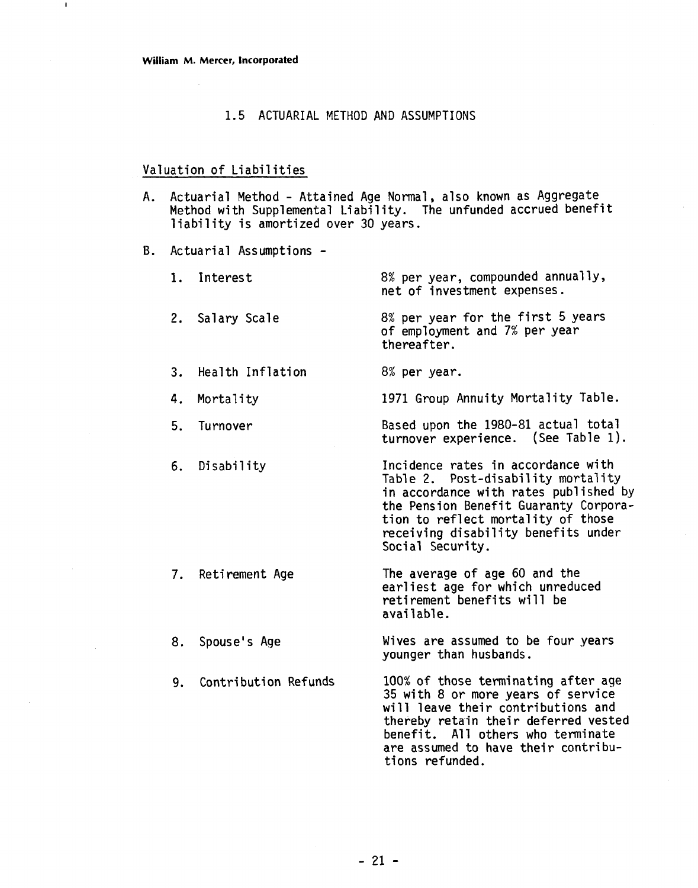#### 1.5 ACTUARIAL METHOD AND ASSUMPTIONS

#### Valuation of Liabilities

- A. Actuarial Method Attained Age Normal, also known as Aggregate Method with Supplemental Liability. The unfunded accrued benefit liability is amortized over 30 years.
- B. Actuarial Assumptions -

|    | 1. Interest       | 8% per year, compounded annually,<br>net of investment expenses.                                                                                                                                                                                            |
|----|-------------------|-------------------------------------------------------------------------------------------------------------------------------------------------------------------------------------------------------------------------------------------------------------|
|    | 2. Salary Scale   | 8% per year for the first 5 years<br>of employment and 7% per year<br>thereafter.                                                                                                                                                                           |
| 3. | Health Inflation  | 8% per year.                                                                                                                                                                                                                                                |
| 4. | Mortality         | 1971 Group Annuity Mortality Table.                                                                                                                                                                                                                         |
| 5. | Turnover          | Based upon the 1980-81 actual total<br>turnover experience. (See Table 1).                                                                                                                                                                                  |
|    | 6. Disability     | Incidence rates in accordance with<br>Table 2. Post-disability mortality<br>in accordance with rates published by<br>the Pension Benefit Guaranty Corpora-<br>tion to reflect mortality of those<br>receiving disability benefits under<br>Social Security. |
|    | 7. Retirement Age | The average of age 60 and the<br>earliest age for which unreduced<br>retirement benefits will be<br>available.                                                                                                                                              |
| 8. | Spouse's Age      | Wives are assumed to be four years<br>younger than husbands.                                                                                                                                                                                                |

9. Contribution Refunds 100% of those terminating after age 35 with 8 or more years of service will leave their contributions and thereby retain their deferred vested benefit. All others who terminate are assumed to have their contributions refunded.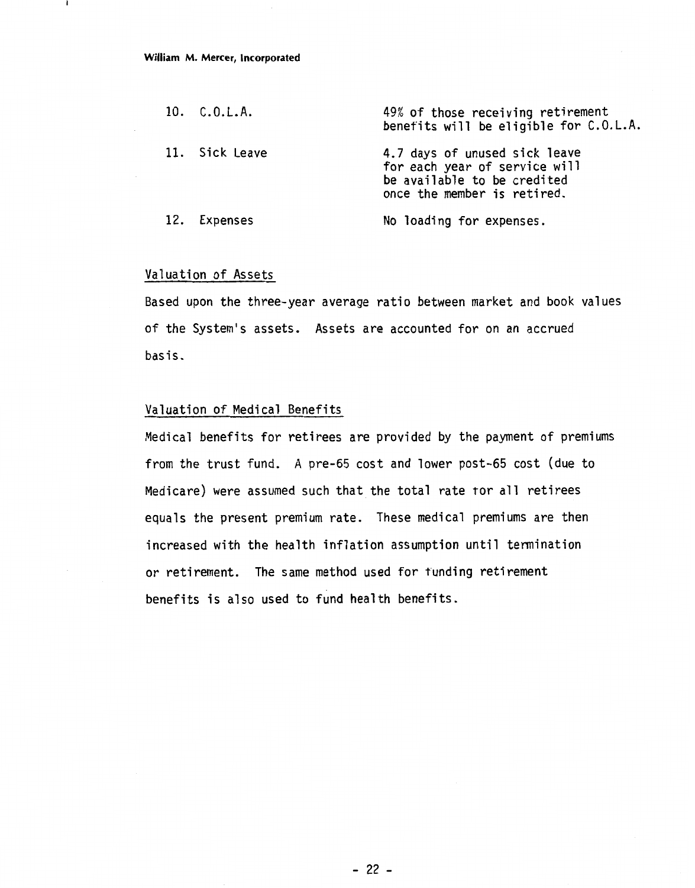| 10. C.O.L.A.   | 49% of those receiving retirement<br>benefits will be eligible for C.O.L.A.                                                  |
|----------------|------------------------------------------------------------------------------------------------------------------------------|
| 11. Sick Leave | 4.7 days of unused sick leave<br>for each year of service will<br>be available to be credited<br>once the member is retired. |
| 12. Expenses   | No loading for expenses.                                                                                                     |

#### Valuation of Assets

Based upon the three-year average ratio between market and book values of the System's assets. Assets are accounted for on an accrued basis.

#### Valuation of Medical Benefits

Medical benefits for retirees are provided by the payment of premiums from the trust fund. A pre-65 cost and lower post-65 cost (due to Medicare) were assumed such that the total rate tor all retirees equals the present premium rate. These medical premiums are then increased with the health inflation assumption until termination or retirement. The same method used for funding retirement benefits is also used to fund health benefits.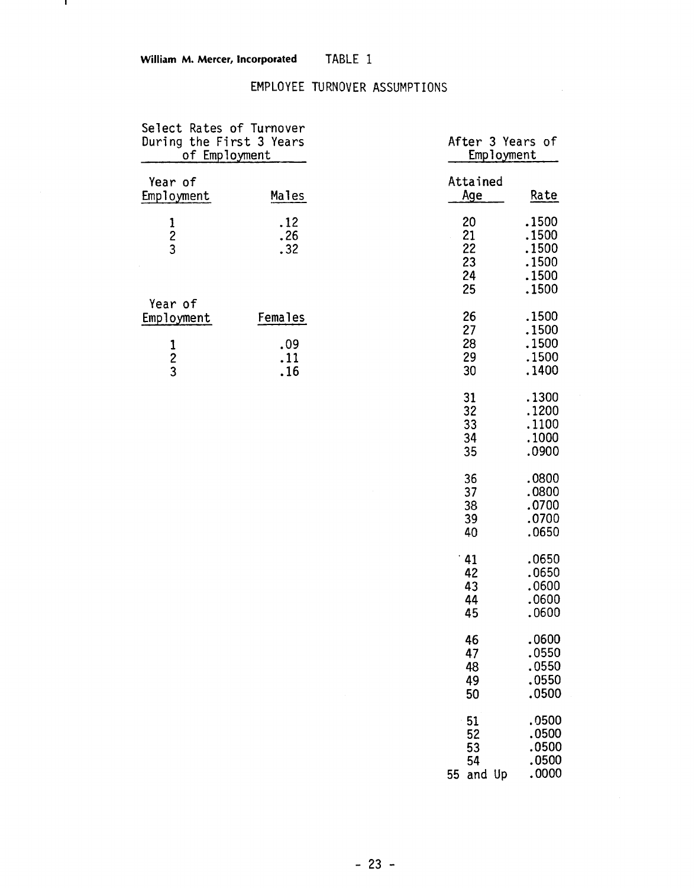- 11

# EMPLOYEE TURNOVER ASSUMPTIONS

| Select Rates of Turnover<br>During the First 3 Years<br>of Employment |                   | After 3 Years of<br>Employment    |                                                    |
|-----------------------------------------------------------------------|-------------------|-----------------------------------|----------------------------------------------------|
| Year of<br>Employment                                                 | Males             | Attained<br><u>Age</u>            | Rate                                               |
| $\frac{1}{2}$                                                         | .12<br>.26<br>.32 | 20<br>21<br>22<br>23<br>24<br>25  | .1500<br>.1500<br>.1500<br>.1500<br>.1500<br>.1500 |
| Year of<br>Employment                                                 | Females           | 26<br>27                          | .1500<br>.1500                                     |
| $\frac{1}{2}$                                                         | .09<br>.11<br>.16 | 28<br>29<br>30                    | .1500<br>.1500<br>.1400                            |
|                                                                       |                   | 31<br>32<br>33<br>34<br>35        | .1300<br>.1200<br>.1100<br>.1000<br>.0900          |
|                                                                       |                   | 36<br>37<br>38<br>39<br>40        | .0800<br>.0800<br>.0700<br>.0700<br>.0650          |
|                                                                       |                   | .41<br>42<br>43<br>44<br>45       | .0650<br>.0650<br>.0600<br>.0600<br>.0600          |
|                                                                       |                   | 46<br>47<br>48<br>49<br>50        | .0600<br>.0550<br>.0550<br>.0550<br>.0500          |
|                                                                       |                   | 51<br>52<br>53<br>54<br>55 and Up | .0500<br>.0500<br>.0500<br>.0500<br>.0000          |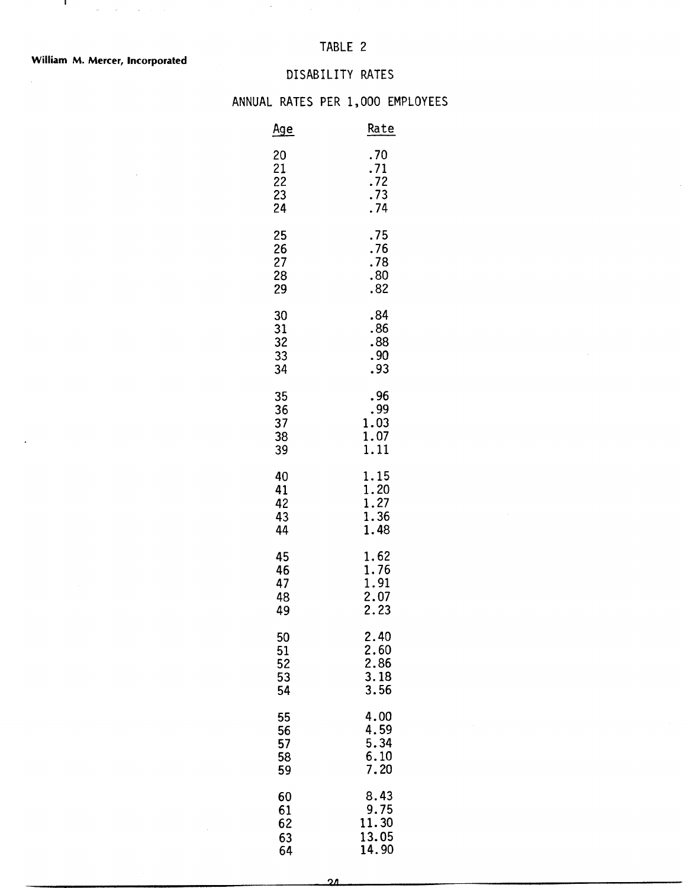$\hat{\boldsymbol{\beta}}$ 

 $\mathbf{E}_{\mathbf{z}}$  and  $\mathbf{z}$  are the set of the set of  $\mathbf{z}$ 

 $\bar{z}$ 

# DISABILITY RATES

#### ANNUAL RATES PER 1,000 EMPLOYEES

 $\bar{z}$ 

|                            | DISABILITY RATES                            |
|----------------------------|---------------------------------------------|
|                            | L RATES PER 1,000 EMPLOYE                   |
| <u>Age</u>                 | Rate                                        |
| 20                         | .70                                         |
| 21                         | .71                                         |
| 22                         | .72                                         |
| 23                         | .73                                         |
| 24                         | .74                                         |
| 25                         | .75                                         |
| 26                         | .76                                         |
| 27                         | .78                                         |
| 28                         | .80                                         |
| 29                         | .82                                         |
| 30                         | .84                                         |
| 31                         | .86                                         |
| 32                         | .88                                         |
| 33                         | .90                                         |
| 34                         | .93                                         |
| 35                         | . 96                                        |
| 36                         | . 99                                        |
| 37                         | 1.03                                        |
| 38                         | 1.07                                        |
| 39                         | 1.11                                        |
| 40                         | 1.15                                        |
| 41                         | 1.20                                        |
| 42                         | 1.27                                        |
| 43                         | 1.36                                        |
| 44                         | 1.48                                        |
| 45<br>46<br>47<br>48<br>49 | 1.62<br>1.76<br>$\frac{1.91}{2.07}$<br>2.23 |
| 50<br>51<br>52<br>53<br>54 | 2.40<br>2.60<br>2.86<br>3.18<br>3.56        |
| 55                         | 4.00                                        |
| 56                         | 4.59                                        |
| 57                         | 5.34                                        |
| 58                         | 6.10                                        |
| 59                         | 7.20                                        |
| 60                         | 8.43                                        |
| 61                         | 9.75                                        |
| 62                         | 11.30                                       |
| 63                         | 13.05                                       |
| 64                         | 14.90                                       |

 $\overline{\mathbf{24}}$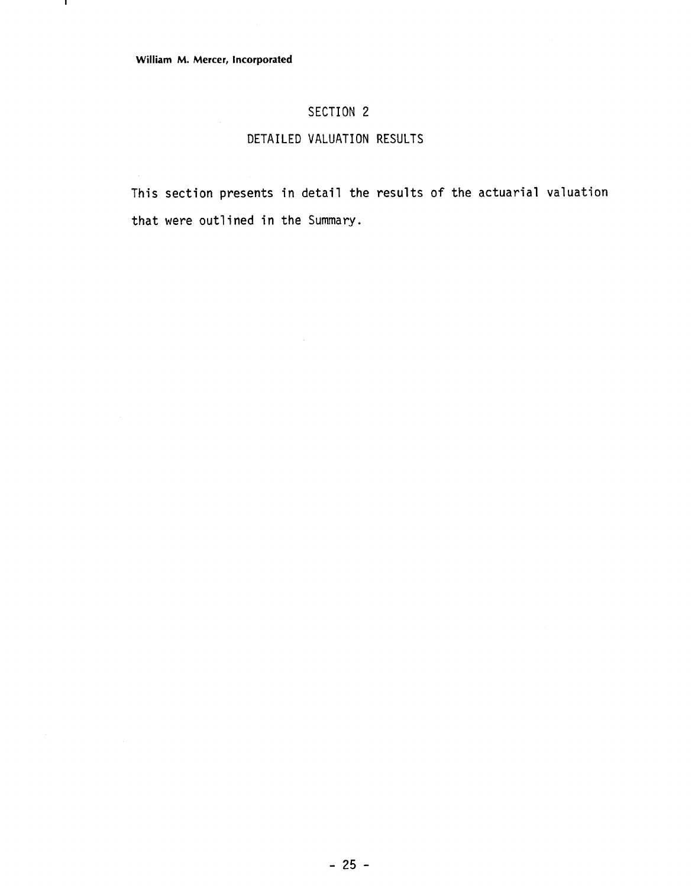# SECTION 2

# DETAILED VALUATION RESULTS

This section presents in detail the results of the actuarial valuation that were outlined in the Summary.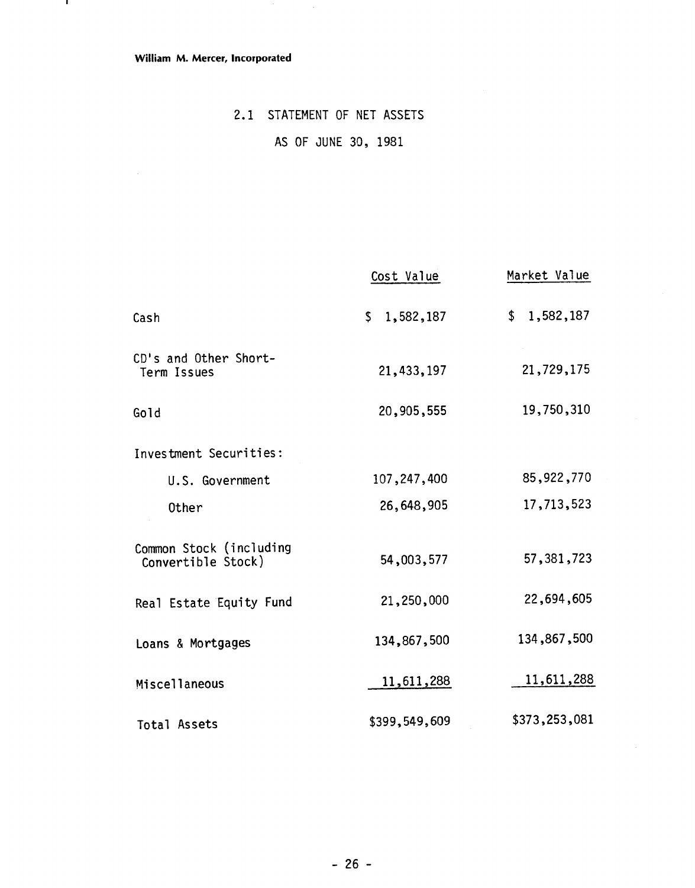#### William M. Mercer, Incorporated

 $\bar{A}$ 

- 11

# 2.1 STATEMENT OF NET ASSETS

# AS OF JUNE 30, 1981

|                                               | Cost Value    | Market Value  |
|-----------------------------------------------|---------------|---------------|
| Cash                                          | \$1,582,187   | \$1,582,187   |
| CD's and Other Short-<br>Term Issues          | 21,433,197    | 21,729,175    |
| Gold                                          | 20,905,555    | 19,750,310    |
| Investment Securities:                        |               |               |
| U.S. Government                               | 107,247,400   | 85,922,770    |
| Other                                         | 26,648,905    | 17,713,523    |
| Common Stock (including<br>Convertible Stock) | 54,003,577    | 57, 381, 723  |
| Real Estate Equity Fund                       | 21,250,000    | 22,694,605    |
| Loans & Mortgages                             | 134,867,500   | 134,867,500   |
| Miscellaneous                                 | 11,611,288    | 11,611,288    |
| Total Assets                                  | \$399,549,609 | \$373,253,081 |

 $\bar{z}$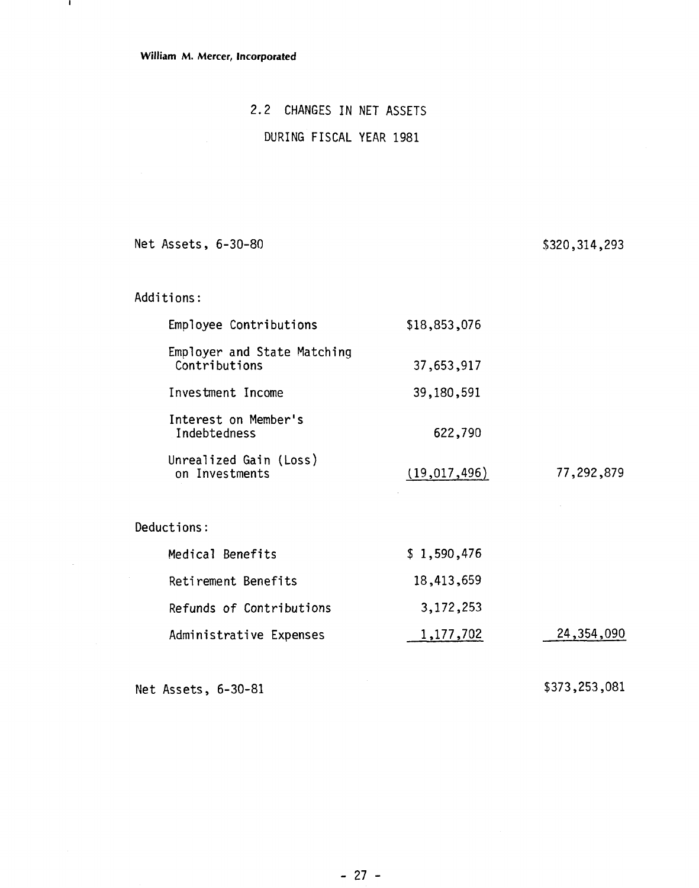$\sim$ 

# 2.2 CHANGES IN NET ASSETS

# DURING FISCAL YEAR 1981

Net Assets, 6-30-80

\$320,314,293

| Additions:                                   |              |              |
|----------------------------------------------|--------------|--------------|
| Employee Contributions                       | \$18,853,076 |              |
| Employer and State Matching<br>Contributions | 37,653,917   |              |
| Investment Income                            | 39,180,591   |              |
| Interest on Member's<br>Indebtedness         | 622,790      |              |
| Unrealized Gain (Loss)<br>on Investments     | (19,017,496) | 77,292,879   |
| Deductions:                                  |              |              |
| Medical Benefits                             | \$1,590,476  |              |
| Retirement Benefits                          | 18,413,659   |              |
| Refunds of Contributions                     | 3,172,253    |              |
| Administrative Expenses                      | 1,177,702    | 24, 354, 090 |

Net Assets, 6-30-81

\$373,253,081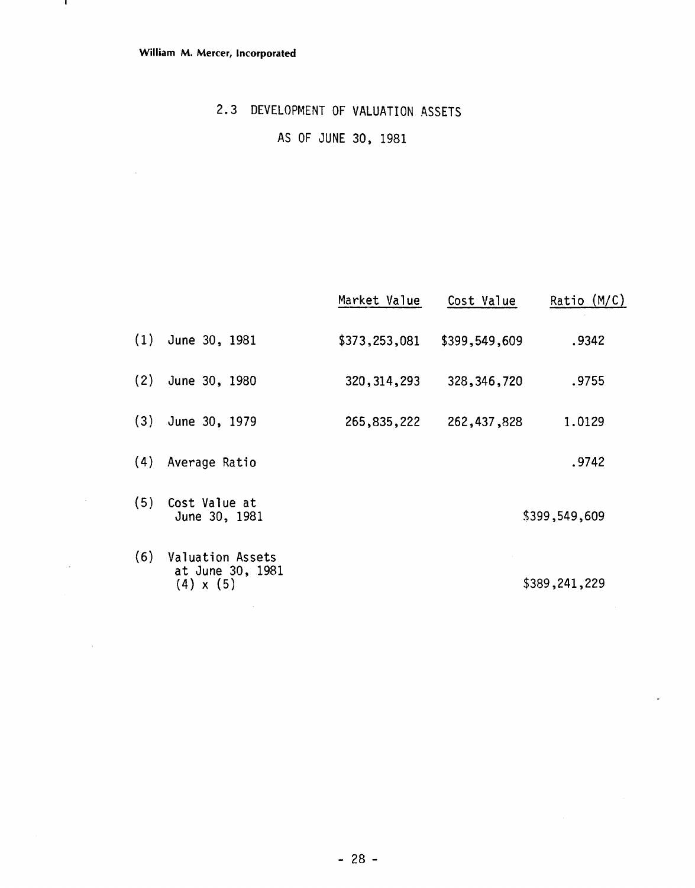$\sim 10^{-1}$ 

 $\overline{\phantom{a}}$ 

# **2.3 DEVELOPMENT OF** VALUATION **ASSETS**

AS **OF** JUNE **30, 1981** 

|     |                                                          | Market Value  | Cost Value    | Ratio $(M/C)$ |
|-----|----------------------------------------------------------|---------------|---------------|---------------|
| (1) | June 30, 1981                                            | \$373,253,081 | \$399,549,609 | .9342         |
| (2) | June 30, 1980                                            | 320, 314, 293 | 328, 346, 720 | .9755         |
| (3) | June 30, 1979                                            | 265,835,222   | 262, 437, 828 | 1.0129        |
| (4) | Average Ratio                                            |               |               | .9742         |
| (5) | Cost Value at<br>June 30, 1981                           |               |               | \$399,549,609 |
| (6) | Valuation Assets<br>at June 30, 1981<br>$(4) \times (5)$ |               |               | \$389,241,229 |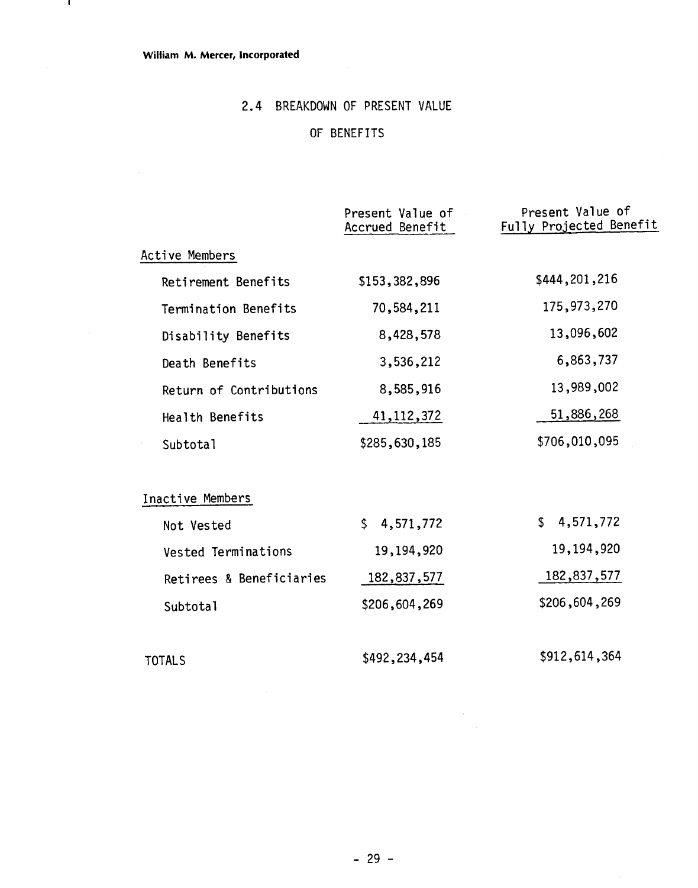- 11

# 2.4 BREAKDOWN OF PRESENT VALUE

# OF BENEFITS

|                          | Present Value of<br>Accrued Benefit | Present Value of<br>Fully Projected Benefit |
|--------------------------|-------------------------------------|---------------------------------------------|
| Active Members           |                                     |                                             |
| Retirement Benefits      | \$153,382,896                       | \$444,201,216                               |
| Termination Benefits     | 70,584,211                          | 175,973,270                                 |
| Disability Benefits      | 8,428,578                           | 13,096,602                                  |
| Death Benefits           | 3,536,212                           | 6,863,737                                   |
| Return of Contributions  | 8,585,916                           | 13,989,002                                  |
| Health Benefits          | 41, 112, 372                        | 51,886,268                                  |
| Subtotal                 | \$285,630,185                       | \$706,010,095                               |
| Inactive Members         |                                     |                                             |
| Not Vested               | $\mathsf S$<br>4,571,772            | \$4,571,772                                 |
| Vested Terminations      | 19,194,920                          | 19,194,920                                  |
| Retirees & Beneficiaries | 182,837,577                         | 182,837,577                                 |
| Subtotal                 | \$206,604,269                       | \$206,604,269                               |
| <b>TOTALS</b>            | \$492,234,454                       | \$912,614,364                               |

l,